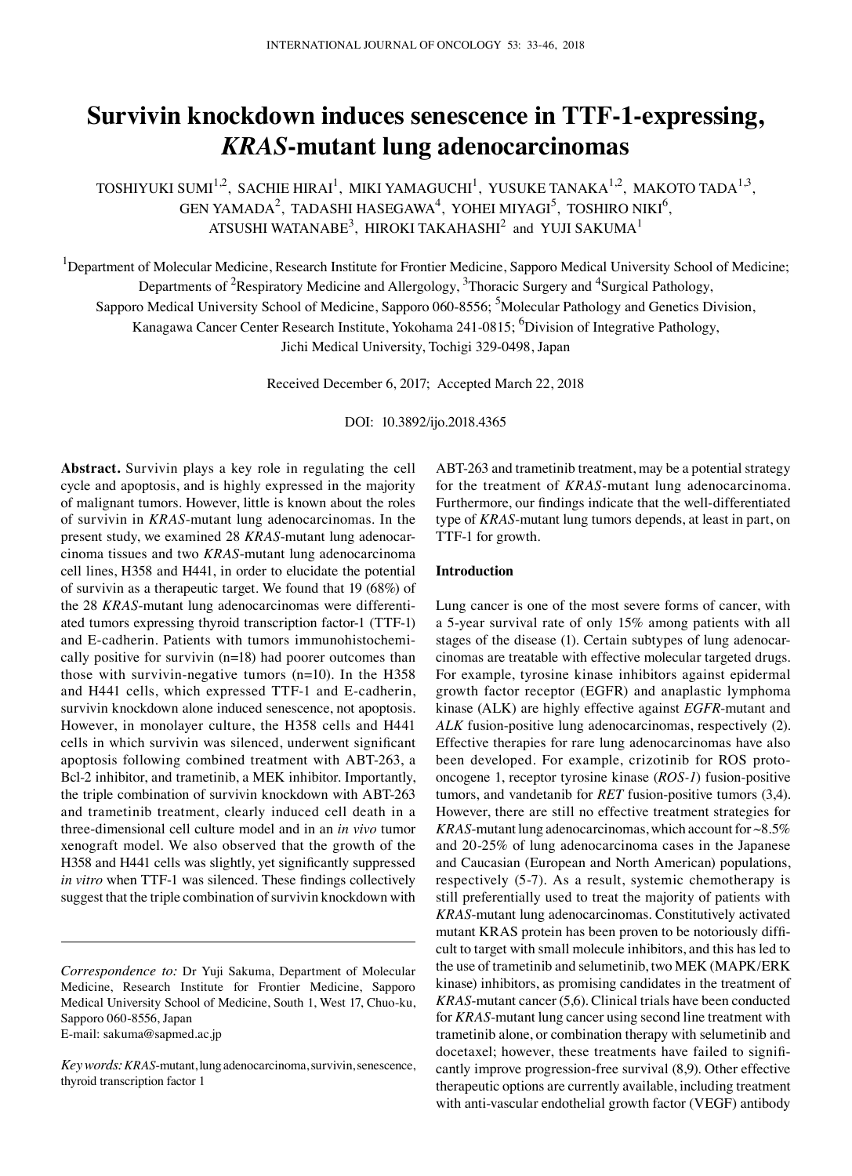# **Survivin knockdown induces senescence in TTF‑1-expressing,**  *KRAS***-mutant lung adenocarcinomas**

TOSHIYUKI SUMI $^{1,2}$ , SACHIE HIRAI<sup>1</sup>, MIKI YAMAGUCHI<sup>1</sup>, YUSUKE TANAKA<sup>1,2</sup>, MAKOTO TADA<sup>1,3</sup>, GEN YAMADA<sup>2</sup>, TADASHI HASEGAWA<sup>4</sup>, YOHEI MIYAGI<sup>5</sup>, TOSHIRO NIKI<sup>6</sup>, ATSUSHI WATANABE $^3$ , HIROKI TAKAHASHI $^2$  and YUJI SAKUMA $^1$ 

<sup>1</sup>Department of Molecular Medicine, Research Institute for Frontier Medicine, Sapporo Medical University School of Medicine; Departments of <sup>2</sup>Respiratory Medicine and Allergology, <sup>3</sup>Thoracic Surgery and <sup>4</sup>Surgical Pathology, Sapporo Medical University School of Medicine, Sapporo 060-8556; <sup>5</sup>Molecular Pathology and Genetics Division, Kanagawa Cancer Center Research Institute, Yokohama 241-0815; <sup>6</sup>Division of Integrative Pathology, Jichi Medical University, Tochigi 329-0498, Japan

Received December 6, 2017; Accepted March 22, 2018

DOI: 10.3892/ijo.2018.4365

**Abstract.** Survivin plays a key role in regulating the cell cycle and apoptosis, and is highly expressed in the majority of malignant tumors. However, little is known about the roles of survivin in *KRAS*-mutant lung adenocarcinomas. In the present study, we examined 28 *KRAS*-mutant lung adenocarcinoma tissues and two *KRAS*-mutant lung adenocarcinoma cell lines, H358 and H441, in order to elucidate the potential of survivin as a therapeutic target. We found that 19 (68%) of the 28 *KRAS*-mutant lung adenocarcinomas were differentiated tumors expressing thyroid transcription factor-1 (TTF-1) and E-cadherin. Patients with tumors immunohistochemically positive for survivin (n=18) had poorer outcomes than those with survivin-negative tumors  $(n=10)$ . In the H358 and H441 cells, which expressed TTF-1 and E-cadherin, survivin knockdown alone induced senescence, not apoptosis. However, in monolayer culture, the H358 cells and H441 cells in which survivin was silenced, underwent significant apoptosis following combined treatment with ABT-263, a Bcl-2 inhibitor, and trametinib, a MEK inhibitor. Importantly, the triple combination of survivin knockdown with ABT-263 and trametinib treatment, clearly induced cell death in a three-dimensional cell culture model and in an *in vivo* tumor xenograft model. We also observed that the growth of the H358 and H441 cells was slightly, yet significantly suppressed *in vitro* when TTF‑1 was silenced. These findings collectively suggest that the triple combination of survivin knockdown with

E-mail: sakuma@sapmed.ac.jp

ABT-263 and trametinib treatment, may be a potential strategy for the treatment of *KRAS*-mutant lung adenocarcinoma. Furthermore, our findings indicate that the well-differentiated type of *KRAS*-mutant lung tumors depends, at least in part, on TTF-1 for growth.

#### **Introduction**

Lung cancer is one of the most severe forms of cancer, with a 5-year survival rate of only 15% among patients with all stages of the disease (1). Certain subtypes of lung adenocarcinomas are treatable with effective molecular targeted drugs. For example, tyrosine kinase inhibitors against epidermal growth factor receptor (EGFR) and anaplastic lymphoma kinase (ALK) are highly effective against *EGFR*-mutant and *ALK* fusion-positive lung adenocarcinomas, respectively (2). Effective therapies for rare lung adenocarcinomas have also been developed. For example, crizotinib for ROS protooncogene 1, receptor tyrosine kinase (*ROS‑1*) fusion-positive tumors, and vandetanib for *RET* fusion-positive tumors (3,4). However, there are still no effective treatment strategies for *KRAS*-mutant lung adenocarcinomas, which account for ~8.5% and 20-25% of lung adenocarcinoma cases in the Japanese and Caucasian (European and North American) populations, respectively (5-7). As a result, systemic chemotherapy is still preferentially used to treat the majority of patients with *KRAS*-mutant lung adenocarcinomas. Constitutively activated mutant KRAS protein has been proven to be notoriously difficult to target with small molecule inhibitors, and this has led to the use of trametinib and selumetinib, two MEK (MAPK/ERK kinase) inhibitors, as promising candidates in the treatment of *KRAS*-mutant cancer (5,6). Clinical trials have been conducted for *KRAS*-mutant lung cancer using second line treatment with trametinib alone, or combination therapy with selumetinib and docetaxel; however, these treatments have failed to significantly improve progression-free survival (8,9). Other effective therapeutic options are currently available, including treatment with anti-vascular endothelial growth factor (VEGF) antibody

*Correspondence to:* Dr Yuji Sakuma, Department of Molecular Medicine, Research Institute for Frontier Medicine, Sapporo Medical University School of Medicine, South 1, West 17, Chuo-ku, Sapporo 060-8556, Japan

*Key words:KRAS*-mutant, lung adenocarcinoma, survivin, senescence, thyroid transcription factor 1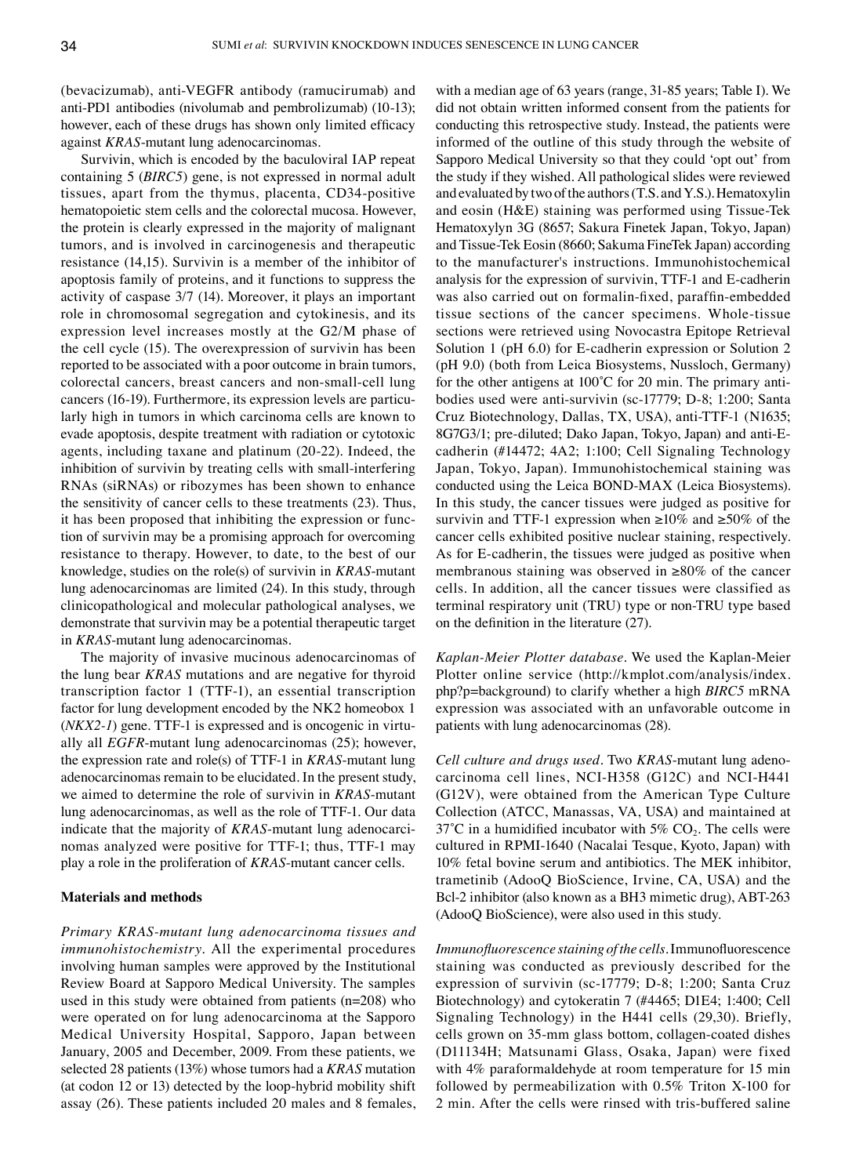(bevacizumab), anti-VEGFR antibody (ramucirumab) and anti-PD1 antibodies (nivolumab and pembrolizumab) (10-13); however, each of these drugs has shown only limited efficacy against *KRAS*-mutant lung adenocarcinomas.

Survivin, which is encoded by the baculoviral IAP repeat containing 5 (*BIRC5*) gene, is not expressed in normal adult tissues, apart from the thymus, placenta, CD34-positive hematopoietic stem cells and the colorectal mucosa. However, the protein is clearly expressed in the majority of malignant tumors, and is involved in carcinogenesis and therapeutic resistance (14,15). Survivin is a member of the inhibitor of apoptosis family of proteins, and it functions to suppress the activity of caspase 3/7 (14). Moreover, it plays an important role in chromosomal segregation and cytokinesis, and its expression level increases mostly at the G2/M phase of the cell cycle (15). The overexpression of survivin has been reported to be associated with a poor outcome in brain tumors, colorectal cancers, breast cancers and non-small-cell lung cancers (16-19). Furthermore, its expression levels are particularly high in tumors in which carcinoma cells are known to evade apoptosis, despite treatment with radiation or cytotoxic agents, including taxane and platinum (20-22). Indeed, the inhibition of survivin by treating cells with small-interfering RNAs (siRNAs) or ribozymes has been shown to enhance the sensitivity of cancer cells to these treatments (23). Thus, it has been proposed that inhibiting the expression or function of survivin may be a promising approach for overcoming resistance to therapy. However, to date, to the best of our knowledge, studies on the role(s) of survivin in *KRAS*-mutant lung adenocarcinomas are limited (24). In this study, through clinicopathological and molecular pathological analyses, we demonstrate that survivin may be a potential therapeutic target in *KRAS*-mutant lung adenocarcinomas.

The majority of invasive mucinous adenocarcinomas of the lung bear *KRAS* mutations and are negative for thyroid transcription factor 1 (TTF-1), an essential transcription factor for lung development encoded by the NK2 homeobox 1 (*NKX2‑1*) gene. TTF-1 is expressed and is oncogenic in virtually all *EGFR*-mutant lung adenocarcinomas (25); however, the expression rate and role(s) of TTF-1 in *KRAS*-mutant lung adenocarcinomas remain to be elucidated. In the present study, we aimed to determine the role of survivin in *KRAS*-mutant lung adenocarcinomas, as well as the role of TTF-1. Our data indicate that the majority of *KRAS*-mutant lung adenocarcinomas analyzed were positive for TTF-1; thus, TTF-1 may play a role in the proliferation of *KRAS*-mutant cancer cells.

## **Materials and methods**

*Primary KRAS-mutant lung adenocarcinoma tissues and immunohistochemistry.* All the experimental procedures involving human samples were approved by the Institutional Review Board at Sapporo Medical University. The samples used in this study were obtained from patients (n=208) who were operated on for lung adenocarcinoma at the Sapporo Medical University Hospital, Sapporo, Japan between January, 2005 and December, 2009. From these patients, we selected 28 patients (13%) whose tumors had a *KRAS* mutation (at codon 12 or 13) detected by the loop-hybrid mobility shift assay (26). These patients included 20 males and 8 females, with a median age of 63 years (range, 31-85 years; Table I). We did not obtain written informed consent from the patients for conducting this retrospective study. Instead, the patients were informed of the outline of this study through the website of Sapporo Medical University so that they could 'opt out' from the study if they wished. All pathological slides were reviewed and evaluated by two of the authors (T.S. and Y.S.). Hematoxylin and eosin (H&E) staining was performed using Tissue-Tek Hematoxylyn 3G (8657; Sakura Finetek Japan, Tokyo, Japan) and Tissue-Tek Eosin (8660; Sakuma FineTek Japan) according to the manufacturer's instructions. Immunohistochemical analysis for the expression of survivin, TTF-1 and E-cadherin was also carried out on formalin-fixed, paraffin-embedded tissue sections of the cancer specimens. Whole-tissue sections were retrieved using Novocastra Epitope Retrieval Solution 1 (pH 6.0) for E-cadherin expression or Solution 2 (pH 9.0) (both from Leica Biosystems, Nussloch, Germany) for the other antigens at 100˚C for 20 min. The primary antibodies used were anti-survivin (sc-17779; D-8; 1:200; Santa Cruz Biotechnology, Dallas, TX, USA), anti-TTF-1 (N1635; 8G7G3/1; pre-diluted; Dako Japan, Tokyo, Japan) and anti-Ecadherin (#14472; 4A2; 1:100; Cell Signaling Technology Japan, Tokyo, Japan). Immunohistochemical staining was conducted using the Leica BOND-MAX (Leica Biosystems). In this study, the cancer tissues were judged as positive for survivin and TTF-1 expression when  $\geq 10\%$  and  $\geq 50\%$  of the cancer cells exhibited positive nuclear staining, respectively. As for E-cadherin, the tissues were judged as positive when membranous staining was observed in ≥80% of the cancer cells. In addition, all the cancer tissues were classified as terminal respiratory unit (TRU) type or non-TRU type based on the definition in the literature (27).

*Kaplan‑Meier Plotter database.* We used the Kaplan-Meier Plotter online service (http://kmplot.com/analysis/index. php?p=background) to clarify whether a high *BIRC5* mRNA expression was associated with an unfavorable outcome in patients with lung adenocarcinomas (28).

*Cell culture and drugs used.* Two *KRAS*-mutant lung adenocarcinoma cell lines, NCI-H358 (G12C) and NCI-H441 (G12V), were obtained from the American Type Culture Collection (ATCC, Manassas, VA, USA) and maintained at 37°C in a humidified incubator with 5%  $CO<sub>2</sub>$ . The cells were cultured in RPMI-1640 (Nacalai Tesque, Kyoto, Japan) with 10% fetal bovine serum and antibiotics. The MEK inhibitor, trametinib (AdooQ BioScience, Irvine, CA, USA) and the Bcl-2 inhibitor (also known as a BH3 mimetic drug), ABT-263 (AdooQ BioScience), were also used in this study.

*Immunofluorescence staining of the cells.* Immunofluorescence staining was conducted as previously described for the expression of survivin (sc-17779; D-8; 1:200; Santa Cruz Biotechnology) and cytokeratin 7 (#4465; D1E4; 1:400; Cell Signaling Technology) in the H441 cells (29,30). Briefly, cells grown on 35-mm glass bottom, collagen-coated dishes (D11134H; Matsunami Glass, Osaka, Japan) were fixed with 4% paraformaldehyde at room temperature for 15 min followed by permeabilization with 0.5% Triton X-100 for 2 min. After the cells were rinsed with tris-buffered saline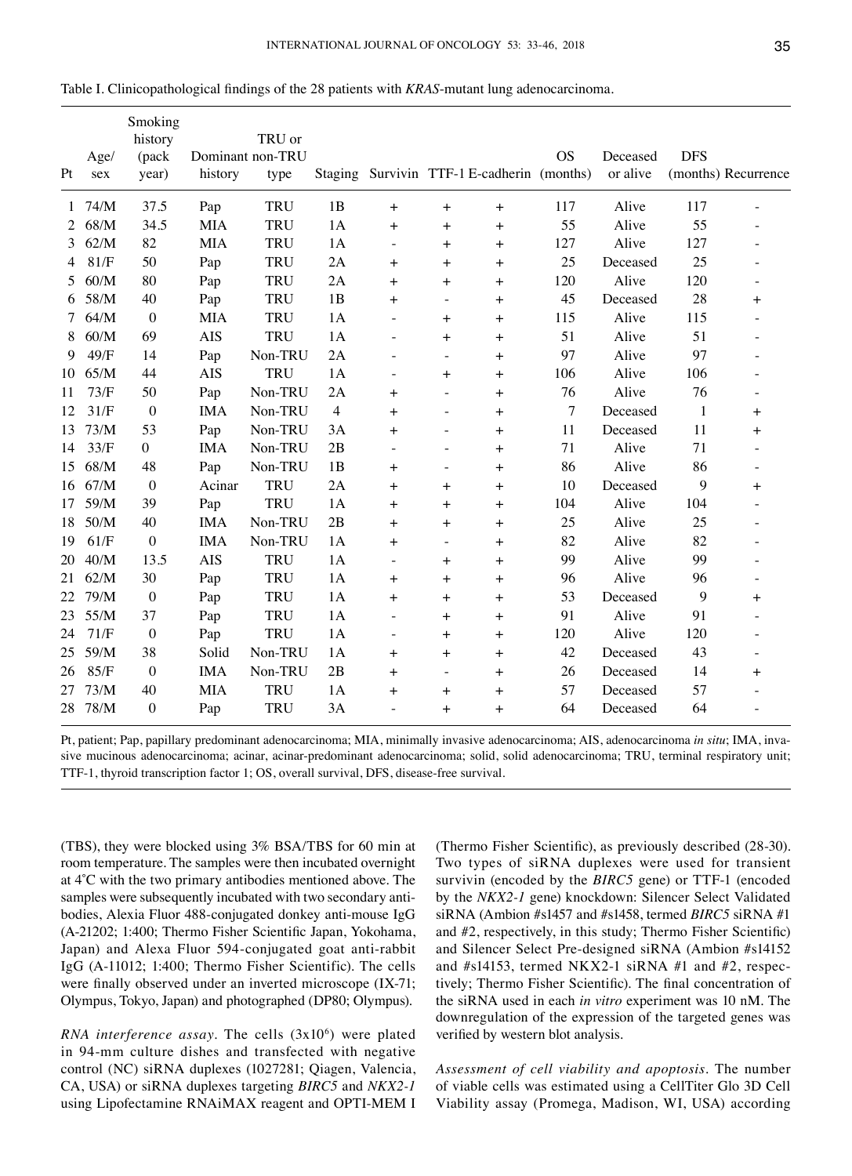| Pt | Age/<br>sex | Smoking<br>history<br>(pack<br>year) | history    | TRU or<br>Dominant non-TRU<br>type | Staging        |                                  |                          | Survivin TTF-1 E-cadherin (months) | <b>OS</b> | Deceased<br>or alive | <b>DFS</b>   | (months) Recurrence      |
|----|-------------|--------------------------------------|------------|------------------------------------|----------------|----------------------------------|--------------------------|------------------------------------|-----------|----------------------|--------------|--------------------------|
| 1  | 74/M        | 37.5                                 | Pap        | <b>TRU</b>                         | 1B             | $\ddot{}$                        | $+$                      | $\ddot{}$                          | 117       | Alive                | 117          |                          |
| 2  | 68/M        | 34.5                                 | <b>MIA</b> | <b>TRU</b>                         | 1A             | $\ddot{}$                        | $+$                      | $^{+}$                             | 55        | Alive                | 55           | $\overline{a}$           |
| 3  | 62/M        | 82                                   | <b>MIA</b> | <b>TRU</b>                         | 1A             | $\overline{\phantom{a}}$         | $\ddot{}$                | $\ddot{}$                          | 127       | Alive                | 127          | $\overline{a}$           |
| 4  | 81/F        | 50                                   | Pap        | <b>TRU</b>                         | 2A             | $+$                              | $\ddot{}$                | $\ddot{}$                          | 25        | Deceased             | 25           | $\overline{a}$           |
| 5  | 60/M        | 80                                   | Pap        | <b>TRU</b>                         | 2A             | $\ddot{}$                        | $\ddot{}$                | $\ddot{}$                          | 120       | Alive                | 120          | $\overline{\phantom{0}}$ |
| 6  | 58/M        | 40                                   | Pap        | <b>TRU</b>                         | 1B             | $+$                              | $\overline{\phantom{a}}$ | $\overline{+}$                     | 45        | Deceased             | 28           | $\ddot{}$                |
| 7  | 64/M        | $\boldsymbol{0}$                     | <b>MIA</b> | <b>TRU</b>                         | 1A             | $\overline{\phantom{0}}$         | $\ddot{}$                | $+$                                | 115       | Alive                | 115          |                          |
| 8  | 60/M        | 69                                   | <b>AIS</b> | <b>TRU</b>                         | 1A             | $\overline{\phantom{a}}$         | $\overline{+}$           | $\ddot{}$                          | 51        | Alive                | 51           | $\overline{a}$           |
| 9  | 49/F        | 14                                   | Pap        | Non-TRU                            | 2A             | $\overline{a}$                   | $\overline{\phantom{a}}$ | $\ddot{}$                          | 97        | Alive                | 97           | $\overline{\phantom{0}}$ |
| 10 | 65/M        | 44                                   | <b>AIS</b> | TRU                                | 1A             | $\overline{\phantom{a}}$         | $\ddot{}$                | $+$                                | 106       | Alive                | 106          |                          |
| 11 | 73/F        | 50                                   | Pap        | Non-TRU                            | 2A             | $\begin{array}{c} + \end{array}$ | $\overline{\phantom{a}}$ | $+$                                | 76        | Alive                | 76           | $\overline{a}$           |
| 12 | 31/F        | $\boldsymbol{0}$                     | <b>IMA</b> | Non-TRU                            | $\overline{4}$ | $+$                              | $\overline{\phantom{a}}$ | $+$                                | 7         | Deceased             | $\mathbf{1}$ | $+$                      |
| 13 | 73/M        | 53                                   | Pap        | Non-TRU                            | 3A             | $\ddot{}$                        | $\overline{a}$           | $^{+}$                             | 11        | Deceased             | 11           | $+$                      |
| 14 | 33/F        | $\boldsymbol{0}$                     | <b>IMA</b> | Non-TRU                            | 2B             | $\overline{a}$                   | $\overline{a}$           | $^{+}$                             | 71        | Alive                | 71           |                          |
| 15 | 68/M        | 48                                   | Pap        | Non-TRU                            | 1B             | $\ddot{}$                        | $\overline{\phantom{a}}$ | $^{+}$                             | 86        | Alive                | 86           |                          |
| 16 | 67/M        | $\boldsymbol{0}$                     | Acinar     | <b>TRU</b>                         | 2A             | $+$                              | $+$                      | $\ddot{}$                          | 10        | Deceased             | 9            | $+$                      |
| 17 | 59/M        | 39                                   | Pap        | TRU                                | 1A             | $+$                              | $\ddot{}$                | $\ddot{}$                          | 104       | Alive                | 104          | $\overline{a}$           |
| 18 | 50/M        | 40                                   | <b>IMA</b> | Non-TRU                            | 2B             | $\begin{array}{c} + \end{array}$ | $\ddot{}$                | $+$                                | 25        | Alive                | 25           | $\overline{a}$           |
| 19 | 61/F        | $\boldsymbol{0}$                     | <b>IMA</b> | Non-TRU                            | 1A             | $+$                              | $\overline{\phantom{a}}$ | $+$                                | 82        | Alive                | 82           | $\overline{\phantom{0}}$ |
| 20 | 40/M        | 13.5                                 | <b>AIS</b> | TRU                                | 1A             | $\overline{\phantom{a}}$         | $+$                      | $^{+}$                             | 99        | Alive                | 99           |                          |
| 21 | 62/M        | 30                                   | Pap        | <b>TRU</b>                         | 1A             | $\overline{+}$                   | $\ddot{}$                | $\ddot{}$                          | 96        | Alive                | 96           |                          |
| 22 | 79/M        | $\boldsymbol{0}$                     | Pap        | TRU                                | 1A             | $\ddot{}$                        | $\pm$                    | $\ddot{}$                          | 53        | Deceased             | 9            | $+$                      |
| 23 | 55/M        | 37                                   | Pap        | <b>TRU</b>                         | 1A             | $\overline{\phantom{a}}$         | $+$                      | $^{+}$                             | 91        | Alive                | 91           | $\overline{a}$           |
| 24 | 71/F        | $\boldsymbol{0}$                     | Pap        | <b>TRU</b>                         | 1A             | $\overline{\phantom{a}}$         | $+$                      | $+$                                | 120       | Alive                | 120          | $\overline{a}$           |
| 25 | 59/M        | 38                                   | Solid      | Non-TRU                            | 1A             | $\ddot{}$                        | $\ddot{}$                | $\ddot{}$                          | 42        | Deceased             | 43           | $\overline{a}$           |
| 26 | 85/F        | $\overline{0}$                       | <b>IMA</b> | Non-TRU                            | 2B             | $\ddot{}$                        | $\overline{\phantom{a}}$ | $\ddot{}$                          | 26        | Deceased             | 14           | $+$                      |
| 27 | 73/M        | 40                                   | <b>MIA</b> | <b>TRU</b>                         | 1A             | $+$                              | $\pm$                    | $^{+}$                             | 57        | Deceased             | 57           |                          |
|    | 28 78/M     | $\boldsymbol{0}$                     | Pap        | TRU                                | 3A             | $\overline{\phantom{a}}$         | $\ddot{}$                | $^{+}$                             | 64        | Deceased             | 64           | $\overline{a}$           |

Table I. Clinicopathological findings of the 28 patients with *KRAS*-mutant lung adenocarcinoma.

Pt, patient; Pap, papillary predominant adenocarcinoma; MIA, minimally invasive adenocarcinoma; AIS, adenocarcinoma *in situ*; IMA, invasive mucinous adenocarcinoma; acinar, acinar-predominant adenocarcinoma; solid, solid adenocarcinoma; TRU, terminal respiratory unit; TTF-1, thyroid transcription factor 1; OS, overall survival, DFS, disease-free survival.

(TBS), they were blocked using 3% BSA/TBS for 60 min at room temperature. The samples were then incubated overnight at 4˚C with the two primary antibodies mentioned above. The samples were subsequently incubated with two secondary antibodies, Alexia Fluor 488-conjugated donkey anti-mouse IgG (A-21202; 1:400; Thermo Fisher Scientific Japan, Yokohama, Japan) and Alexa Fluor 594-conjugated goat anti-rabbit IgG (A-11012; 1:400; Thermo Fisher Scientific). The cells were finally observed under an inverted microscope (IX-71; Olympus, Tokyo, Japan) and photographed (DP80; Olympus).

RNA interference assay. The cells (3x10<sup>6</sup>) were plated in 94-mm culture dishes and transfected with negative control (NC) siRNA duplexes (1027281; Qiagen, Valencia, CA, USA) or siRNA duplexes targeting *BIRC5* and *NKX2‑1*  using Lipofectamine RNAiMAX reagent and OPTI-MEM I

(Thermo Fisher Scientific), as previously described (28-30). Two types of siRNA duplexes were used for transient survivin (encoded by the *BIRC5* gene) or TTF-1 (encoded by the *NKX2‑1* gene) knockdown: Silencer Select Validated siRNA (Ambion #s1457 and #s1458, termed *BIRC5* siRNA #1 and #2, respectively, in this study; Thermo Fisher Scientific) and Silencer Select Pre-designed siRNA (Ambion #s14152 and #s14153, termed NKX2-1 siRNA #1 and #2, respectively; Thermo Fisher Scientific). The final concentration of the siRNA used in each *in vitro* experiment was 10 nM. The downregulation of the expression of the targeted genes was verified by western blot analysis.

*Assessment of cell viability and apoptosis.* The number of viable cells was estimated using a CellTiter Glo 3D Cell Viability assay (Promega, Madison, WI, USA) according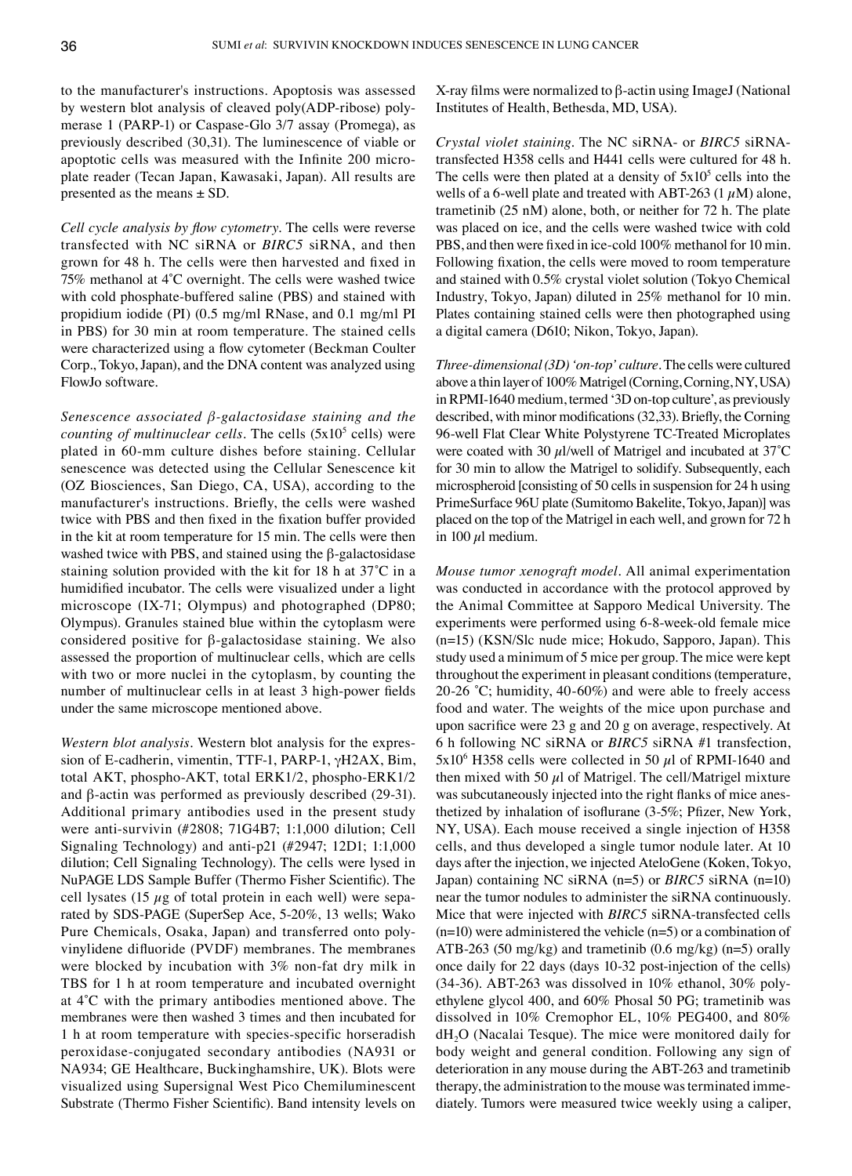to the manufacturer's instructions. Apoptosis was assessed by western blot analysis of cleaved poly(ADP-ribose) polymerase 1 (PARP-1) or Caspase-Glo 3/7 assay (Promega), as previously described (30,31). The luminescence of viable or apoptotic cells was measured with the Infinite 200 microplate reader (Tecan Japan, Kawasaki, Japan). All results are presented as the means  $\pm$  SD.

*Cell cycle analysis by flow cytometry.* The cells were reverse transfected with NC siRNA or *BIRC5* siRNA, and then grown for 48 h. The cells were then harvested and fixed in 75% methanol at 4˚C overnight. The cells were washed twice with cold phosphate-buffered saline (PBS) and stained with propidium iodide (PI) (0.5 mg/ml RNase, and 0.1 mg/ml PI in PBS) for 30 min at room temperature. The stained cells were characterized using a flow cytometer (Beckman Coulter Corp., Tokyo, Japan), and the DNA content was analyzed using FlowJo software.

*Senescence associated β‑galactosidase staining and the counting of multinuclear cells*. The cells (5x10<sup>5</sup> cells) were plated in 60-mm culture dishes before staining. Cellular senescence was detected using the Cellular Senescence kit (OZ Biosciences, San Diego, CA, USA), according to the manufacturer's instructions. Briefly, the cells were washed twice with PBS and then fixed in the fixation buffer provided in the kit at room temperature for 15 min. The cells were then washed twice with PBS, and stained using the β-galactosidase staining solution provided with the kit for 18 h at 37˚C in a humidified incubator. The cells were visualized under a light microscope (IX-71; Olympus) and photographed (DP80; Olympus). Granules stained blue within the cytoplasm were considered positive for β-galactosidase staining. We also assessed the proportion of multinuclear cells, which are cells with two or more nuclei in the cytoplasm, by counting the number of multinuclear cells in at least 3 high-power fields under the same microscope mentioned above.

*Western blot analysis.* Western blot analysis for the expression of E-cadherin, vimentin, TTF-1, PARP-1, γH2AX, Bim, total AKT, phospho-AKT, total ERK1/2, phospho-ERK1/2 and β-actin was performed as previously described (29-31). Additional primary antibodies used in the present study were anti-survivin (#2808; 71G4B7; 1:1,000 dilution; Cell Signaling Technology) and anti-p21 (#2947; 12D1; 1:1,000 dilution; Cell Signaling Technology). The cells were lysed in NuPAGE LDS Sample Buffer (Thermo Fisher Scientific). The cell lysates (15  $\mu$ g of total protein in each well) were separated by SDS-PAGE (SuperSep Ace, 5-20%, 13 wells; Wako Pure Chemicals, Osaka, Japan) and transferred onto polyvinylidene difluoride (PVDF) membranes. The membranes were blocked by incubation with 3% non-fat dry milk in TBS for 1 h at room temperature and incubated overnight at 4˚C with the primary antibodies mentioned above. The membranes were then washed 3 times and then incubated for 1 h at room temperature with species-specific horseradish peroxidase-conjugated secondary antibodies (NA931 or NA934; GE Healthcare, Buckinghamshire, UK). Blots were visualized using Supersignal West Pico Chemiluminescent Substrate (Thermo Fisher Scientific). Band intensity levels on X-ray films were normalized to β-actin using ImageJ (National Institutes of Health, Bethesda, MD, USA).

*Crystal violet staining.* The NC siRNA- or *BIRC5* siRNAtransfected H358 cells and H441 cells were cultured for 48 h. The cells were then plated at a density of  $5x10<sup>5</sup>$  cells into the wells of a 6-well plate and treated with ABT-263 (1  $\mu$ M) alone, trametinib (25 nM) alone, both, or neither for 72 h. The plate was placed on ice, and the cells were washed twice with cold PBS, and then were fixed in ice-cold 100% methanol for 10 min. Following fixation, the cells were moved to room temperature and stained with 0.5% crystal violet solution (Tokyo Chemical Industry, Tokyo, Japan) diluted in 25% methanol for 10 min. Plates containing stained cells were then photographed using a digital camera (D610; Nikon, Tokyo, Japan).

*Three-dimensional (3D) 'on-top' culture.* The cells were cultured above a thin layer of 100% Matrigel (Corning, Corning, NY, USA) in RPMI-1640 medium, termed '3D on-top culture', as previously described, with minor modifications(32,33). Briefly, the Corning 96-well Flat Clear White Polystyrene TC-Treated Microplates were coated with 30  $\mu$ l/well of Matrigel and incubated at 37°C for 30 min to allow the Matrigel to solidify. Subsequently, each microspheroid [consisting of 50 cells in suspension for 24 h using PrimeSurface 96U plate (Sumitomo Bakelite, Tokyo, Japan)] was placed on the top of the Matrigel in each well, and grown for 72 h in 100  $\mu$ l medium.

*Mouse tumor xenograft model.* All animal experimentation was conducted in accordance with the protocol approved by the Animal Committee at Sapporo Medical University. The experiments were performed using 6-8-week-old female mice (n=15) (KSN/Slc nude mice; Hokudo, Sapporo, Japan). This study used a minimum of 5 mice per group. The mice were kept throughout the experiment in pleasant conditions (temperature, 20-26 ˚C; humidity, 40-60%) and were able to freely access food and water. The weights of the mice upon purchase and upon sacrifice were 23 g and 20 g on average, respectively. At 6 h following NC siRNA or *BIRC5* siRNA #1 transfection,  $5x10<sup>6</sup>$  H358 cells were collected in 50  $\mu$ l of RPMI-1640 and then mixed with 50  $\mu$ l of Matrigel. The cell/Matrigel mixture was subcutaneously injected into the right flanks of mice anesthetized by inhalation of isoflurane (3-5%; Pfizer, New York, NY, USA). Each mouse received a single injection of H358 cells, and thus developed a single tumor nodule later. At 10 days after the injection, we injected AteloGene (Koken, Tokyo, Japan) containing NC siRNA (n=5) or *BIRC5* siRNA (n=10) near the tumor nodules to administer the siRNA continuously. Mice that were injected with *BIRC5* siRNA-transfected cells  $(n=10)$  were administered the vehicle  $(n=5)$  or a combination of ATB-263 (50 mg/kg) and trametinib (0.6 mg/kg) (n=5) orally once daily for 22 days (days 10-32 post-injection of the cells) (34-36). ABT-263 was dissolved in 10% ethanol, 30% polyethylene glycol 400, and 60% Phosal 50 PG; trametinib was dissolved in 10% Cremophor EL, 10% PEG400, and 80%  $dH<sub>2</sub>O$  (Nacalai Tesque). The mice were monitored daily for body weight and general condition. Following any sign of deterioration in any mouse during the ABT-263 and trametinib therapy, the administration to the mouse was terminated immediately. Tumors were measured twice weekly using a caliper,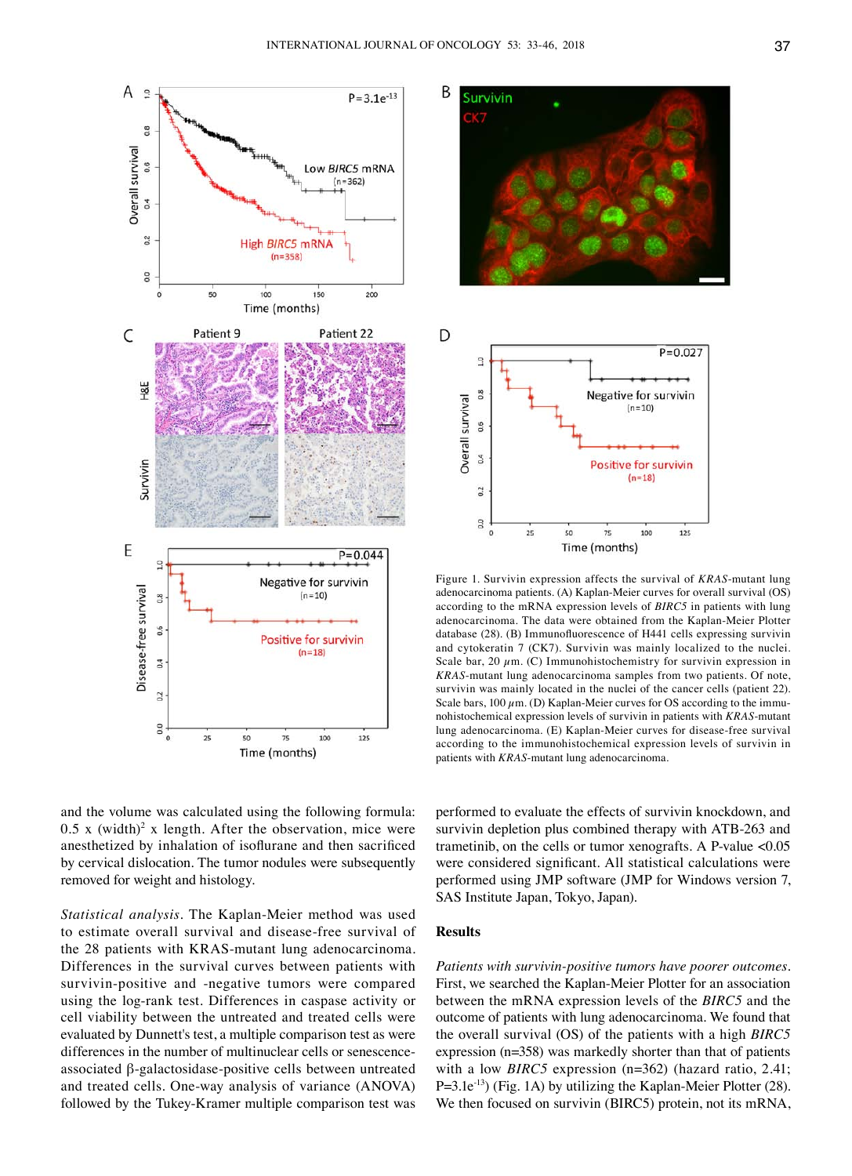

and the volume was calculated using the following formula:  $0.5$  x (width)<sup>2</sup> x length. After the observation, mice were anesthetized by inhalation of isoflurane and then sacrificed by cervical dislocation. The tumor nodules were subsequently removed for weight and histology.

*Statistical analysis.* The Kaplan-Meier method was used to estimate overall survival and disease-free survival of the 28 patients with KRAS-mutant lung adenocarcinoma. Differences in the survival curves between patients with survivin-positive and -negative tumors were compared using the log-rank test. Differences in caspase activity or cell viability between the untreated and treated cells were evaluated by Dunnett's test, a multiple comparison test as were differences in the number of multinuclear cells or senescenceassociated β-galactosidase-positive cells between untreated and treated cells. One-way analysis of variance (ANOVA) followed by the Tukey-Kramer multiple comparison test was



Figure 1. Survivin expression affects the survival of *KRAS*-mutant lung adenocarcinoma patients. (A) Kaplan-Meier curves for overall survival (OS) according to the mRNA expression levels of *BIRC5* in patients with lung adenocarcinoma. The data were obtained from the Kaplan-Meier Plotter database (28). (B) Immunofluorescence of H441 cells expressing survivin and cytokeratin 7 (CK7). Survivin was mainly localized to the nuclei. Scale bar, 20  $\mu$ m. (C) Immunohistochemistry for survivin expression in *KRAS*-mutant lung adenocarcinoma samples from two patients. Of note, survivin was mainly located in the nuclei of the cancer cells (patient 22). Scale bars,  $100 \mu$ m. (D) Kaplan-Meier curves for OS according to the immunohistochemical expression levels of survivin in patients with *KRAS*-mutant lung adenocarcinoma. (E) Kaplan-Meier curves for disease-free survival according to the immunohistochemical expression levels of survivin in patients with *KRAS*-mutant lung adenocarcinoma.

performed to evaluate the effects of survivin knockdown, and survivin depletion plus combined therapy with ATB-263 and trametinib, on the cells or tumor xenografts. A P-value <0.05 were considered significant. All statistical calculations were performed using JMP software (JMP for Windows version 7, SAS Institute Japan, Tokyo, Japan).

## **Results**

*Patients with survivin-positive tumors have poorer outcomes.*  First, we searched the Kaplan-Meier Plotter for an association between the mRNA expression levels of the *BIRC5* and the outcome of patients with lung adenocarcinoma. We found that the overall survival (OS) of the patients with a high *BIRC5* expression (n=358) was markedly shorter than that of patients with a low *BIRC5* expression (n=362) (hazard ratio, 2.41; P=3.1e<sup>-13</sup>) (Fig. 1A) by utilizing the Kaplan-Meier Plotter (28). We then focused on survivin (BIRC5) protein, not its mRNA,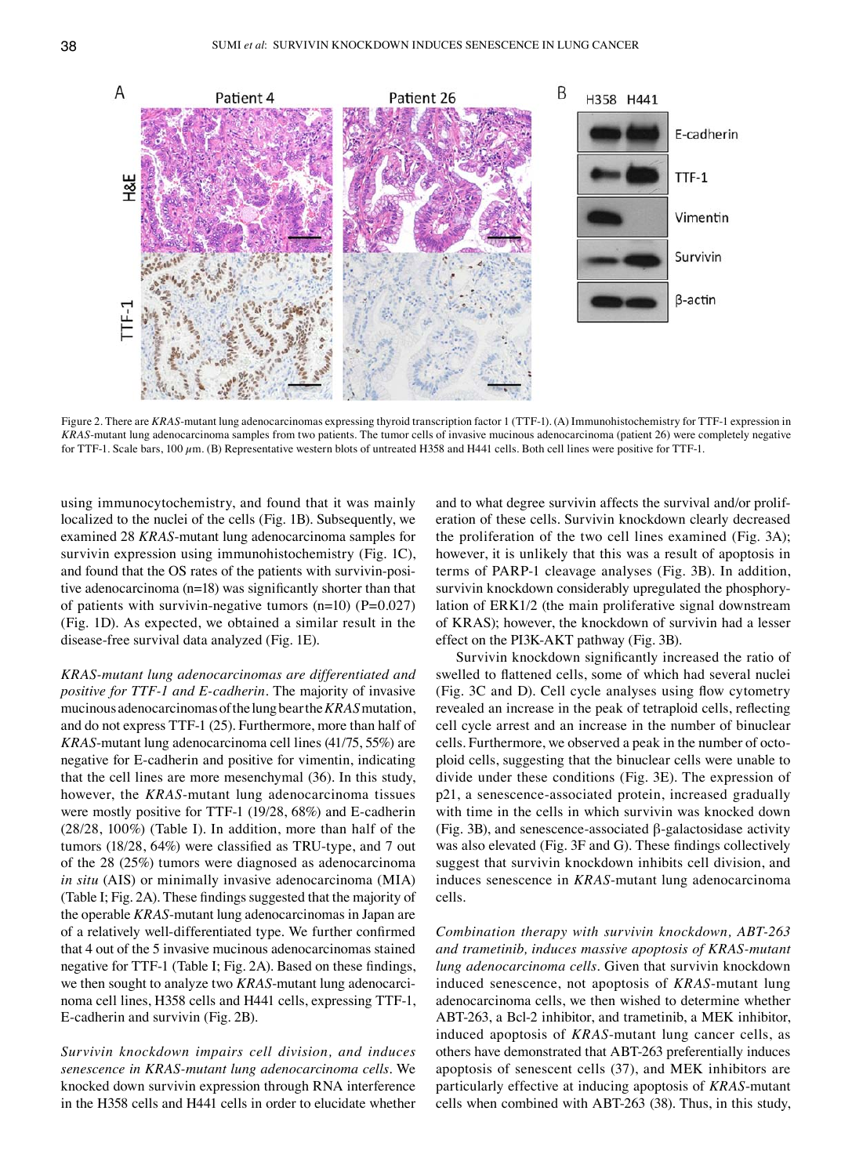Figure 2. There are *KRAS*-mutant lung adenocarcinomas expressing thyroid transcription factor 1 (TTF-1). (A) Immunohistochemistry for TTF-1 expression in *KRAS*-mutant lung adenocarcinoma samples from two patients. The tumor cells of invasive mucinous adenocarcinoma (patient 26) were completely negative for TTF-1. Scale bars, 100  $\mu$ m. (B) Representative western blots of untreated H358 and H441 cells. Both cell lines were positive for TTF-1.

using immunocytochemistry, and found that it was mainly localized to the nuclei of the cells (Fig. 1B). Subsequently, we examined 28 *KRAS*-mutant lung adenocarcinoma samples for survivin expression using immunohistochemistry (Fig. 1C), and found that the OS rates of the patients with survivin-positive adenocarcinoma (n=18) was significantly shorter than that of patients with survivin-negative tumors  $(n=10)$  (P=0.027) (Fig. 1D). As expected, we obtained a similar result in the disease-free survival data analyzed (Fig. 1E).

*KRAS-mutant lung adenocarcinomas are differentiated and positive for TTF‑1 and E-cadherin.* The majority of invasive mucinous adenocarcinomas of the lung bear the *KRAS* mutation, and do not express TTF-1 (25). Furthermore, more than half of *KRAS*-mutant lung adenocarcinoma cell lines (41/75, 55%) are negative for E-cadherin and positive for vimentin, indicating that the cell lines are more mesenchymal (36). In this study, however, the *KRAS*-mutant lung adenocarcinoma tissues were mostly positive for TTF-1 (19/28, 68%) and E-cadherin (28/28, 100%) (Table I). In addition, more than half of the tumors (18/28, 64%) were classified as TRU-type, and 7 out of the 28 (25%) tumors were diagnosed as adenocarcinoma *in situ* (AIS) or minimally invasive adenocarcinoma (MIA) (Table I; Fig. 2A). These findings suggested that the majority of the operable *KRAS*-mutant lung adenocarcinomas in Japan are of a relatively well‑differentiated type. We further confirmed that 4 out of the 5 invasive mucinous adenocarcinomas stained negative for TTF‑1 (Table I; Fig. 2A). Based on these findings, we then sought to analyze two *KRAS*-mutant lung adenocarcinoma cell lines, H358 cells and H441 cells, expressing TTF-1, E-cadherin and survivin (Fig. 2B).

*Survivin knockdown impairs cell division, and induces senescence in KRAS-mutant lung adenocarcinoma cells.* We knocked down survivin expression through RNA interference in the H358 cells and H441 cells in order to elucidate whether and to what degree survivin affects the survival and/or proliferation of these cells. Survivin knockdown clearly decreased the proliferation of the two cell lines examined (Fig. 3A); however, it is unlikely that this was a result of apoptosis in terms of PARP-1 cleavage analyses (Fig. 3B). In addition, survivin knockdown considerably upregulated the phosphorylation of ERK1/2 (the main proliferative signal downstream of KRAS); however, the knockdown of survivin had a lesser effect on the PI3K-AKT pathway (Fig. 3B).

Survivin knockdown significantly increased the ratio of swelled to flattened cells, some of which had several nuclei (Fig. 3C and D). Cell cycle analyses using flow cytometry revealed an increase in the peak of tetraploid cells, reflecting cell cycle arrest and an increase in the number of binuclear cells. Furthermore, we observed a peak in the number of octoploid cells, suggesting that the binuclear cells were unable to divide under these conditions (Fig. 3E). The expression of p21, a senescence-associated protein, increased gradually with time in the cells in which survivin was knocked down (Fig. 3B), and senescence-associated β-galactosidase activity was also elevated (Fig. 3F and G). These findings collectively suggest that survivin knockdown inhibits cell division, and induces senescence in *KRAS*-mutant lung adenocarcinoma cells.

*Combination therapy with survivin knockdown, ABT-263 and trametinib, induces massive apoptosis of KRAS-mutant lung adenocarcinoma cells.* Given that survivin knockdown induced senescence, not apoptosis of *KRAS*-mutant lung adenocarcinoma cells, we then wished to determine whether ABT-263, a Bcl-2 inhibitor, and trametinib, a MEK inhibitor, induced apoptosis of *KRAS*-mutant lung cancer cells, as others have demonstrated that ABT-263 preferentially induces apoptosis of senescent cells (37), and MEK inhibitors are particularly effective at inducing apoptosis of *KRAS*-mutant cells when combined with ABT-263 (38). Thus, in this study,

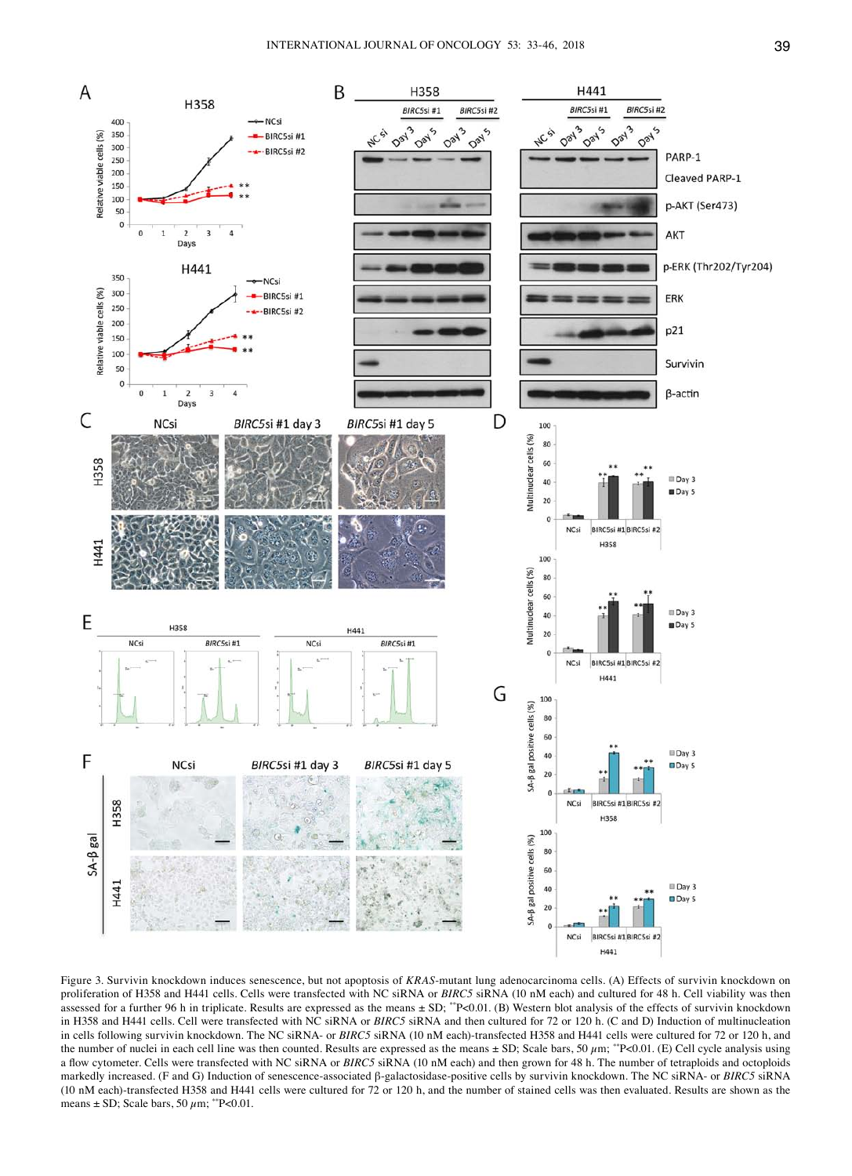

Figure 3. Survivin knockdown induces senescence, but not apoptosis of *KRAS*-mutant lung adenocarcinoma cells. (A) Effects of survivin knockdown on proliferation of H358 and H441 cells. Cells were transfected with NC siRNA or *BIRC5* siRNA (10 nM each) and cultured for 48 h. Cell viability was then assessed for a further 96 h in triplicate. Results are expressed as the means  $\pm$  SD; \*\*P<0.01. (B) Western blot analysis of the effects of survivin knockdown in H358 and H441 cells. Cell were transfected with NC siRNA or *BIRC5* siRNA and then cultured for 72 or 120 h. (C and D) Induction of multinucleation in cells following survivin knockdown. The NC siRNA- or *BIRC5* siRNA (10 nM each)-transfected H358 and H441 cells were cultured for 72 or 120 h, and the number of nuclei in each cell line was then counted. Results are expressed as the means  $\pm$  SD; Scale bars, 50  $\mu$ m; \*\*P<0.01. (E) Cell cycle analysis using a flow cytometer. Cells were transfected with NC siRNA or *BIRC5* siRNA (10 nM each) and then grown for 48 h. The number of tetraploids and octoploids markedly increased. (F and G) Induction of senescence-associated β-galactosidase-positive cells by survivin knockdown. The NC siRNA- or *BIRC5* siRNA (10 nM each)-transfected H358 and H441 cells were cultured for 72 or 120 h, and the number of stained cells was then evaluated. Results are shown as the means  $\pm$  SD; Scale bars, 50  $\mu$ m; \*\*P<0.01.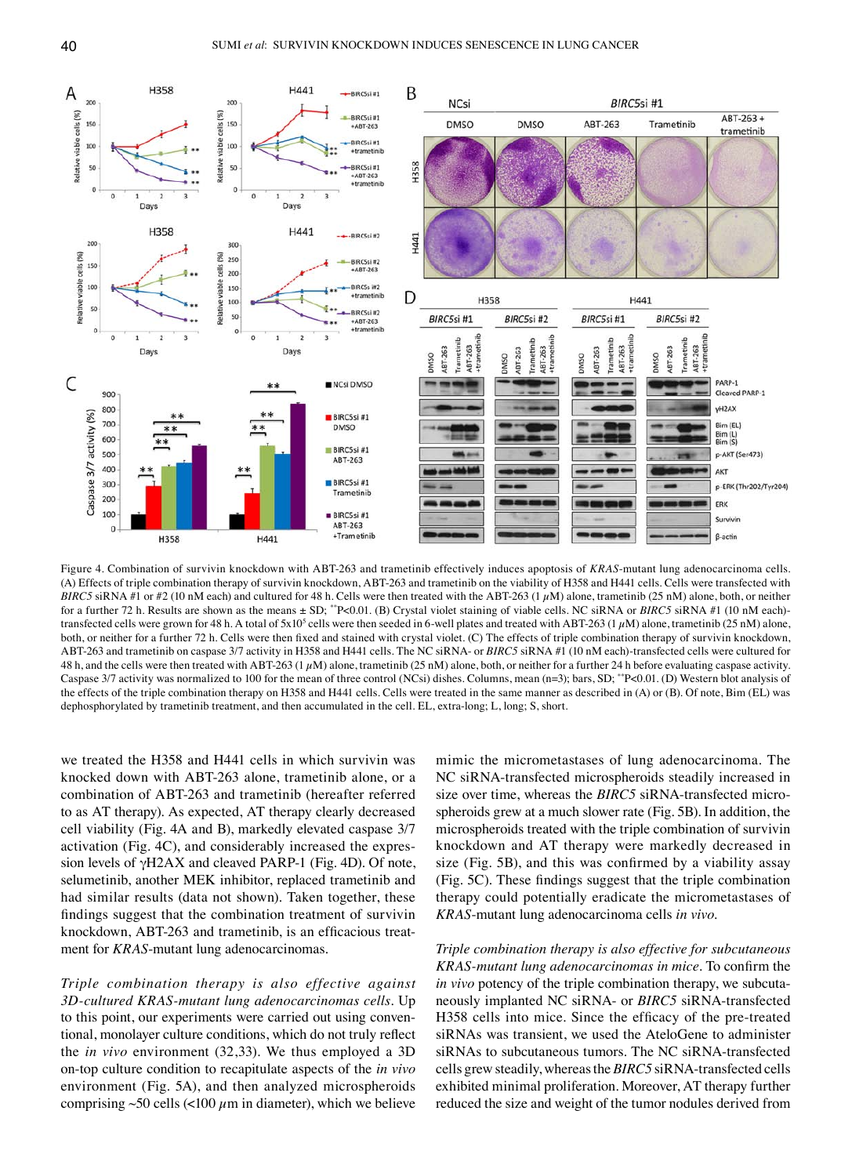

Figure 4. Combination of survivin knockdown with ABT-263 and trametinib effectively induces apoptosis of *KRAS*-mutant lung adenocarcinoma cells. (A) Effects of triple combination therapy of survivin knockdown, ABT-263 and trametinib on the viability of H358 and H441 cells. Cells were transfected with *BIRC5* siRNA #1 or #2 (10 nM each) and cultured for 48 h. Cells were then treated with the ABT-263 (1  $\mu$ M) alone, trametinib (25 nM) alone, both, or neither for a further 72 h. Results are shown as the means  $\pm$  SD; \*\*P<0.01. (B) Crystal violet staining of viable cells. NC siRNA or *BIRC5* siRNA #1 (10 nM each)transfected cells were grown for 48 h. A total of  $5x10^5$  cells were then seeded in 6-well plates and treated with ABT-263 (1  $\mu$ M) alone, trametinib (25 nM) alone, both, or neither for a further 72 h. Cells were then fixed and stained with crystal violet. (C) The effects of triple combination therapy of survivin knockdown, ABT-263 and trametinib on caspase 3/7 activity in H358 and H441 cells. The NC siRNA- or *BIRC5* siRNA #1 (10 nM each)-transfected cells were cultured for 48 h, and the cells were then treated with ABT-263 (1  $\mu$ M) alone, trametinib (25 nM) alone, both, or neither for a further 24 h before evaluating caspase activity. Caspase 3/7 activity was normalized to 100 for the mean of three control (NCsi) dishes. Columns, mean (n=3); bars, SD; \*\*P<0.01. (D) Western blot analysis of the effects of the triple combination therapy on H358 and H441 cells. Cells were treated in the same manner as described in (A) or (B). Of note, Bim (EL) was dephosphorylated by trametinib treatment, and then accumulated in the cell. EL, extra-long; L, long; S, short.

we treated the H358 and H441 cells in which survivin was knocked down with ABT-263 alone, trametinib alone, or a combination of ABT-263 and trametinib (hereafter referred to as AT therapy). As expected, AT therapy clearly decreased cell viability (Fig. 4A and B), markedly elevated caspase 3/7 activation (Fig. 4C), and considerably increased the expression levels of γH2AX and cleaved PARP-1 (Fig. 4D). Of note, selumetinib, another MEK inhibitor, replaced trametinib and had similar results (data not shown). Taken together, these findings suggest that the combination treatment of survivin knockdown, ABT-263 and trametinib, is an efficacious treatment for *KRAS*-mutant lung adenocarcinomas.

*Triple combination therapy is also effective against 3D-cultured KRAS-mutant lung adenocarcinomas cells.* Up to this point, our experiments were carried out using conventional, monolayer culture conditions, which do not truly reflect the *in vivo* environment (32,33). We thus employed a 3D on-top culture condition to recapitulate aspects of the *in vivo* environment (Fig. 5A), and then analyzed microspheroids comprising  $\sim 50$  cells (<100  $\mu$ m in diameter), which we believe mimic the micrometastases of lung adenocarcinoma. The NC siRNA-transfected microspheroids steadily increased in size over time, whereas the *BIRC5* siRNA-transfected microspheroids grew at a much slower rate (Fig. 5B). In addition, the microspheroids treated with the triple combination of survivin knockdown and AT therapy were markedly decreased in size (Fig. 5B), and this was confirmed by a viability assay (Fig. 5C). These findings suggest that the triple combination therapy could potentially eradicate the micrometastases of *KRAS*-mutant lung adenocarcinoma cells *in vivo*.

*Triple combination therapy is also effective for subcutaneous KRAS-mutant lung adenocarcinomas in mice.* To confirm the *in vivo* potency of the triple combination therapy, we subcutaneously implanted NC siRNA- or *BIRC5* siRNA-transfected H358 cells into mice. Since the efficacy of the pre-treated siRNAs was transient, we used the AteloGene to administer siRNAs to subcutaneous tumors. The NC siRNA-transfected cells grew steadily, whereas the *BIRC5* siRNA-transfected cells exhibited minimal proliferation. Moreover, AT therapy further reduced the size and weight of the tumor nodules derived from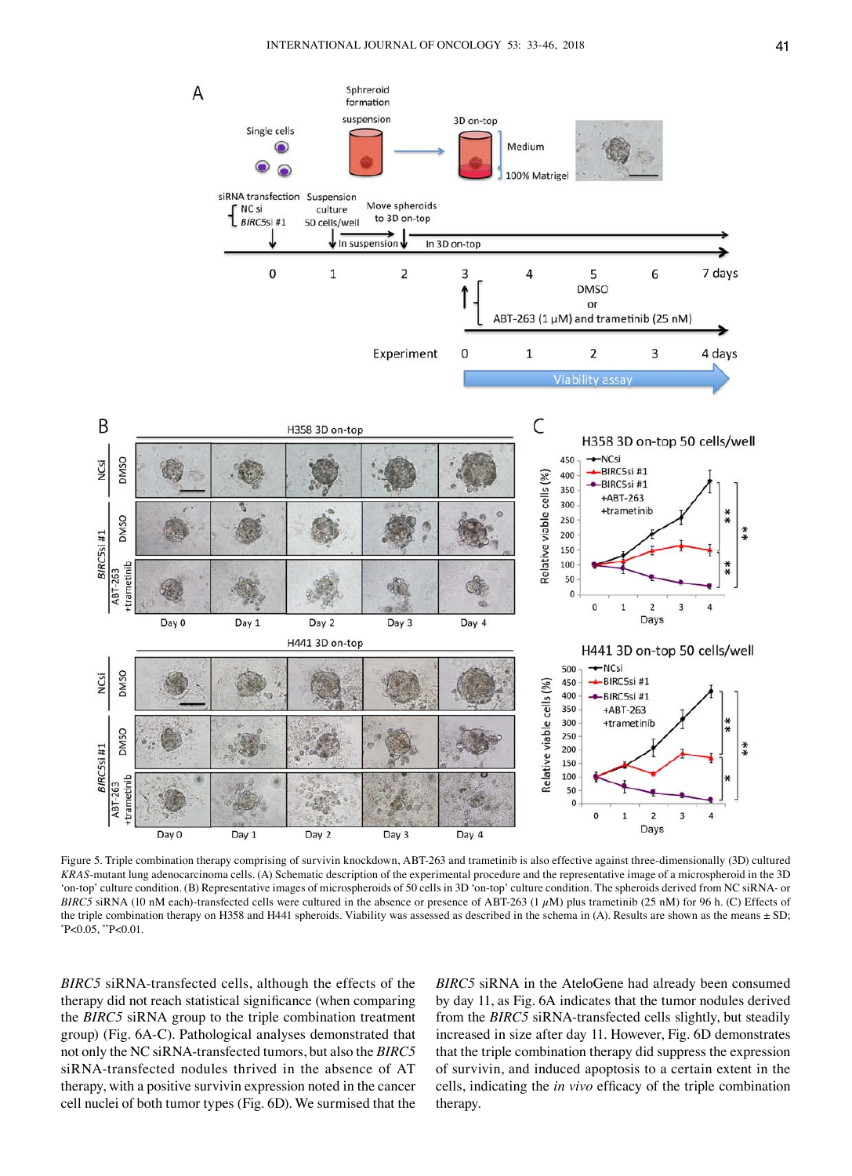

Figure 5. Triple combination therapy comprising of survivin knockdown, ABT-263 and trametinib is also effective against three-dimensionally (3D) cultured *KRAS*-mutant lung adenocarcinoma cells. (A) Schematic description of the experimental procedure and the representative image of a microspheroid in the 3D 'on-top' culture condition. (B) Representative images of microspheroids of 50 cells in 3D 'on-top' culture condition. The spheroids derived from NC siRNA- or *BIRC5* siRNA (10 nM each)-transfected cells were cultured in the absence or presence of ABT-263 (1  $\mu$ M) plus trametinib (25 nM) for 96 h. (C) Effects of the triple combination therapy on H358 and H441 spheroids. Viability was assessed as described in the schema in (A). Results are shown as the means  $\pm$  SD;  $P < 0.05$ ,  $P < 0.01$ .

*BIRC5* siRNA-transfected cells, although the effects of the therapy did not reach statistical significance (when comparing the *BIRC5* siRNA group to the triple combination treatment group) (Fig. 6A-C). Pathological analyses demonstrated that not only the NC siRNA-transfected tumors, but also the *BIRC5* siRNA-transfected nodules thrived in the absence of AT therapy, with a positive survivin expression noted in the cancer cell nuclei of both tumor types (Fig. 6D). We surmised that the *BIRC5* siRNA in the AteloGene had already been consumed by day 11, as Fig. 6A indicates that the tumor nodules derived from the *BIRC5* siRNA-transfected cells slightly, but steadily increased in size after day 11. However, Fig. 6D demonstrates that the triple combination therapy did suppress the expression of survivin, and induced apoptosis to a certain extent in the cells, indicating the *in vivo* efficacy of the triple combination therapy.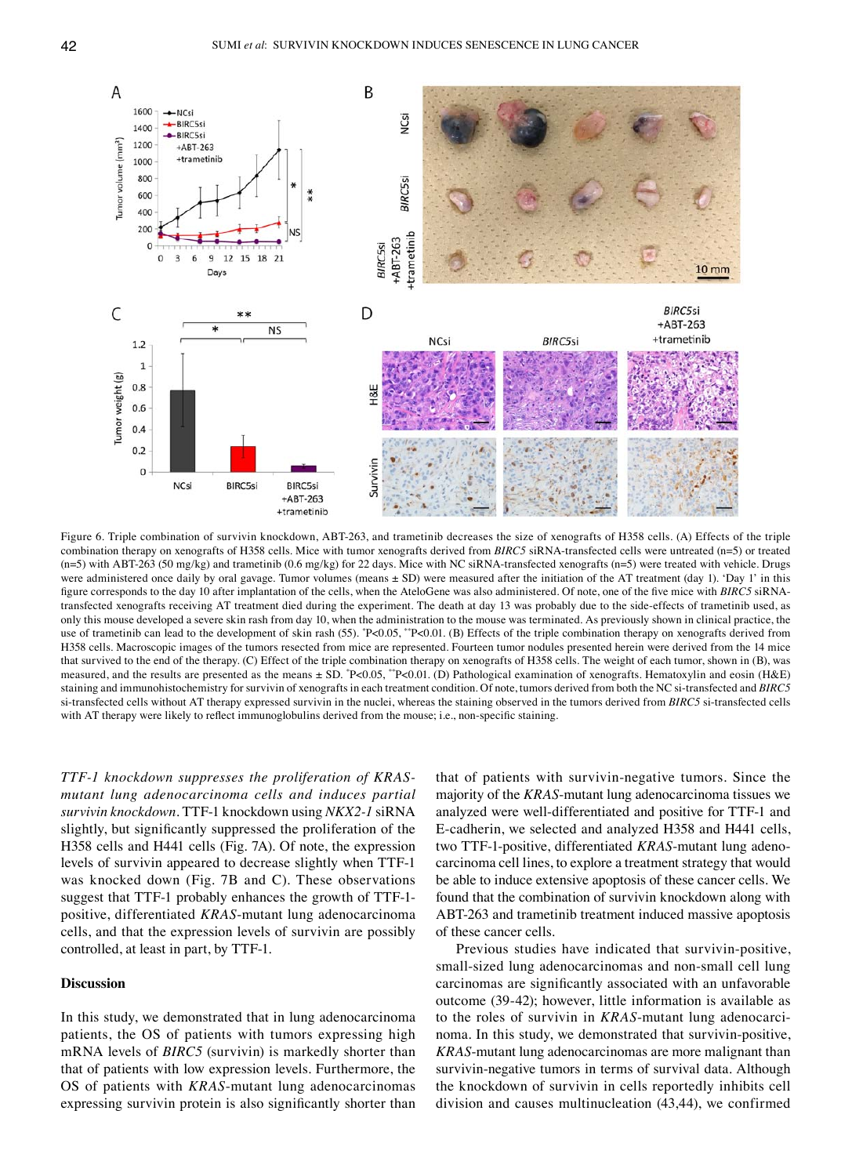

Figure 6. Triple combination of survivin knockdown, ABT-263, and trametinib decreases the size of xenografts of H358 cells. (A) Effects of the triple combination therapy on xenografts of H358 cells. Mice with tumor xenografts derived from *BIRC5* siRNA-transfected cells were untreated (n=5) or treated  $(n=5)$  with ABT-263 (50 mg/kg) and trametinib (0.6 mg/kg) for 22 days. Mice with NC siRNA-transfected xenografts  $(n=5)$  were treated with vehicle. Drugs were administered once daily by oral gavage. Tumor volumes (means  $\pm$  SD) were measured after the initiation of the AT treatment (day 1). 'Day 1' in this figure corresponds to the day 10 after implantation of the cells, when the AteloGene was also administered. Of note, one of the five mice with *BIRC5* siRNAtransfected xenografts receiving AT treatment died during the experiment. The death at day 13 was probably due to the side-effects of trametinib used, as only this mouse developed a severe skin rash from day 10, when the administration to the mouse was terminated. As previously shown in clinical practice, the use of trametinib can lead to the development of skin rash (55).  $P<0.05$ ,  $P<0.01$ . (B) Effects of the triple combination therapy on xenografts derived from H358 cells. Macroscopic images of the tumors resected from mice are represented. Fourteen tumor nodules presented herein were derived from the 14 mice that survived to the end of the therapy. (C) Effect of the triple combination therapy on xenografts of H358 cells. The weight of each tumor, shown in (B), was measured, and the results are presented as the means ± SD. \*P<0.05, \*\*P<0.01. (D) Pathological examination of xenografts. Hematoxylin and eosin (H&E) staining and immunohistochemistry for survivin of xenografts in each treatment condition. Of note, tumors derived from both the NC si-transfected and *BIRC5* si-transfected cells without AT therapy expressed survivin in the nuclei, whereas the staining observed in the tumors derived from *BIRC5* si-transfected cells with AT therapy were likely to reflect immunoglobulins derived from the mouse; i.e., non-specific staining.

*TTF‑1 knockdown suppresses the proliferation of KRASmutant lung adenocarcinoma cells and induces partial survivin knockdown.* TTF-1 knockdown using *NKX2‑1* siRNA slightly, but significantly suppressed the proliferation of the H358 cells and H441 cells (Fig. 7A). Of note, the expression levels of survivin appeared to decrease slightly when TTF-1 was knocked down (Fig. 7B and C). These observations suggest that TTF-1 probably enhances the growth of TTF-1 positive, differentiated *KRAS*-mutant lung adenocarcinoma cells, and that the expression levels of survivin are possibly controlled, at least in part, by TTF-1.

## **Discussion**

In this study, we demonstrated that in lung adenocarcinoma patients, the OS of patients with tumors expressing high mRNA levels of *BIRC5* (survivin) is markedly shorter than that of patients with low expression levels. Furthermore, the OS of patients with *KRAS*-mutant lung adenocarcinomas expressing survivin protein is also significantly shorter than

that of patients with survivin-negative tumors. Since the majority of the *KRAS*-mutant lung adenocarcinoma tissues we analyzed were well-differentiated and positive for TTF-1 and E-cadherin, we selected and analyzed H358 and H441 cells, two TTF-1-positive, differentiated *KRAS*-mutant lung adenocarcinoma cell lines, to explore a treatment strategy that would be able to induce extensive apoptosis of these cancer cells. We found that the combination of survivin knockdown along with ABT-263 and trametinib treatment induced massive apoptosis of these cancer cells.

Previous studies have indicated that survivin-positive, small-sized lung adenocarcinomas and non-small cell lung carcinomas are significantly associated with an unfavorable outcome (39-42); however, little information is available as to the roles of survivin in *KRAS*-mutant lung adenocarcinoma. In this study, we demonstrated that survivin-positive, *KRAS*-mutant lung adenocarcinomas are more malignant than survivin-negative tumors in terms of survival data. Although the knockdown of survivin in cells reportedly inhibits cell division and causes multinucleation (43,44), we confirmed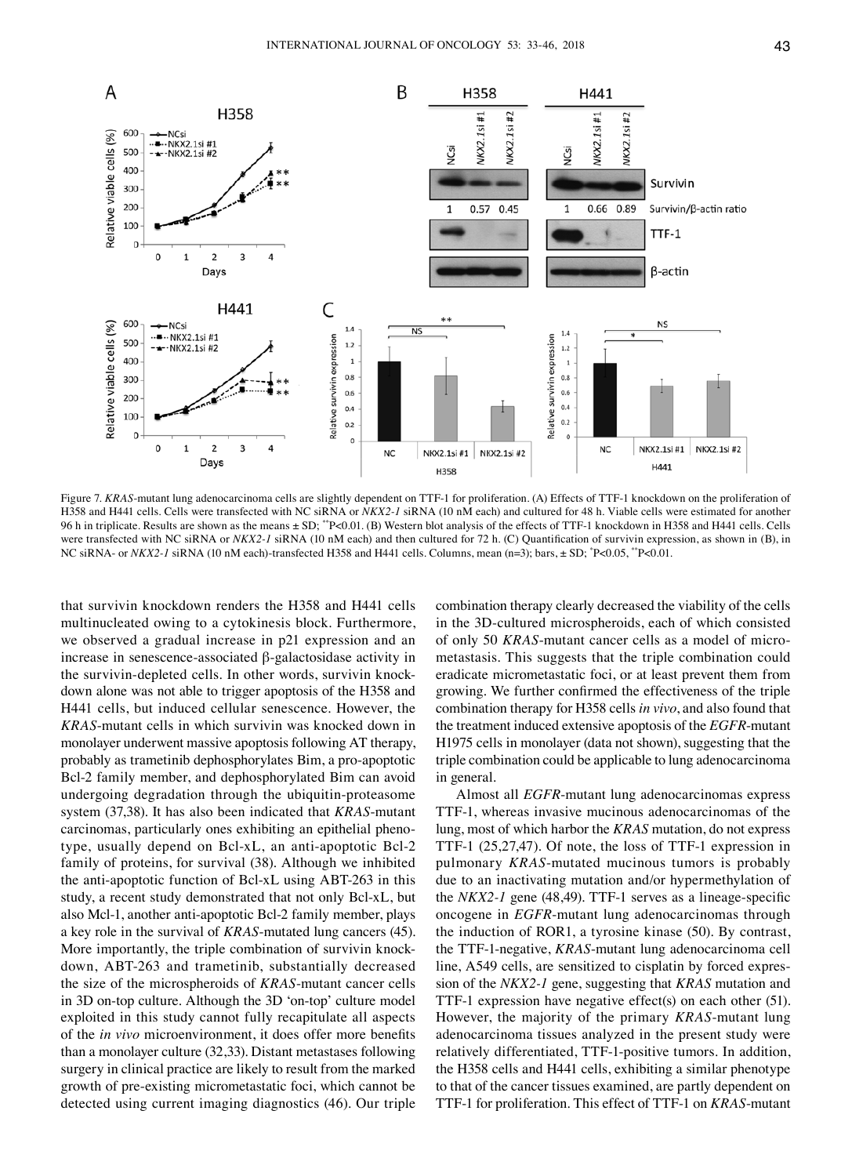

Figure 7. KRAS-mutant lung adenocarcinoma cells are slightly dependent on TTF-1 for proliferation. (A) Effects of TTF-1 knockdown on the proliferation of H358 and H441 cells. Cells were transfected with NC siRNA or *NKX2‑1* siRNA (10 nM each) and cultured for 48 h. Viable cells were estimated for another 96 h in triplicate. Results are shown as the means ± SD; \*\*P<0.01. (B) Western blot analysis of the effects of TTF-1 knockdown in H358 and H441 cells. Cells were transfected with NC siRNA or *NKX2*<sup>-1</sup> siRNA (10 nM each) and then cultured for 72 h. (C) Quantification of survivin expression, as shown in (B), in NC siRNA- or *NKX2-1* siRNA (10 nM each)-transfected H358 and H441 cells. Columns, mean (n=3); bars, ± SD; \*P<0.05, \*\*P<0.01.

that survivin knockdown renders the H358 and H441 cells multinucleated owing to a cytokinesis block. Furthermore, we observed a gradual increase in p21 expression and an increase in senescence-associated β-galactosidase activity in the survivin-depleted cells. In other words, survivin knockdown alone was not able to trigger apoptosis of the H358 and H441 cells, but induced cellular senescence. However, the *KRAS*-mutant cells in which survivin was knocked down in monolayer underwent massive apoptosis following AT therapy, probably as trametinib dephosphorylates Bim, a pro-apoptotic Bcl-2 family member, and dephosphorylated Bim can avoid undergoing degradation through the ubiquitin-proteasome system (37,38). It has also been indicated that *KRAS*-mutant carcinomas, particularly ones exhibiting an epithelial phenotype, usually depend on Bcl-xL, an anti-apoptotic Bcl-2 family of proteins, for survival (38). Although we inhibited the anti-apoptotic function of Bcl-xL using ABT-263 in this study, a recent study demonstrated that not only Bcl-xL, but also Mcl-1, another anti-apoptotic Bcl-2 family member, plays a key role in the survival of *KRAS*-mutated lung cancers (45). More importantly, the triple combination of survivin knockdown, ABT-263 and trametinib, substantially decreased the size of the microspheroids of *KRAS*-mutant cancer cells in 3D on-top culture. Although the 3D 'on-top' culture model exploited in this study cannot fully recapitulate all aspects of the *in vivo* microenvironment, it does offer more benefits than a monolayer culture (32,33). Distant metastases following surgery in clinical practice are likely to result from the marked growth of pre-existing micrometastatic foci, which cannot be detected using current imaging diagnostics (46). Our triple combination therapy clearly decreased the viability of the cells in the 3D-cultured microspheroids, each of which consisted of only 50 *KRAS*-mutant cancer cells as a model of micrometastasis. This suggests that the triple combination could eradicate micrometastatic foci, or at least prevent them from growing. We further confirmed the effectiveness of the triple combination therapy for H358 cells *in vivo*, and also found that the treatment induced extensive apoptosis of the *EGFR*-mutant H1975 cells in monolayer (data not shown), suggesting that the triple combination could be applicable to lung adenocarcinoma in general.

Almost all *EGFR*-mutant lung adenocarcinomas express TTF-1, whereas invasive mucinous adenocarcinomas of the lung, most of which harbor the *KRAS* mutation, do not express TTF-1 (25,27,47). Of note, the loss of TTF-1 expression in pulmonary *KRAS*-mutated mucinous tumors is probably due to an inactivating mutation and/or hypermethylation of the *NKX2‑1* gene (48,49). TTF‑1 serves as a lineage-specific oncogene in *EGFR*-mutant lung adenocarcinomas through the induction of ROR1, a tyrosine kinase (50). By contrast, the TTF-1-negative, *KRAS*-mutant lung adenocarcinoma cell line, A549 cells, are sensitized to cisplatin by forced expression of the *NKX2‑1* gene, suggesting that *KRAS* mutation and TTF-1 expression have negative effect(s) on each other (51). However, the majority of the primary *KRAS*-mutant lung adenocarcinoma tissues analyzed in the present study were relatively differentiated, TTF-1-positive tumors. In addition, the H358 cells and H441 cells, exhibiting a similar phenotype to that of the cancer tissues examined, are partly dependent on TTF-1 for proliferation. This effect of TTF-1 on *KRAS*-mutant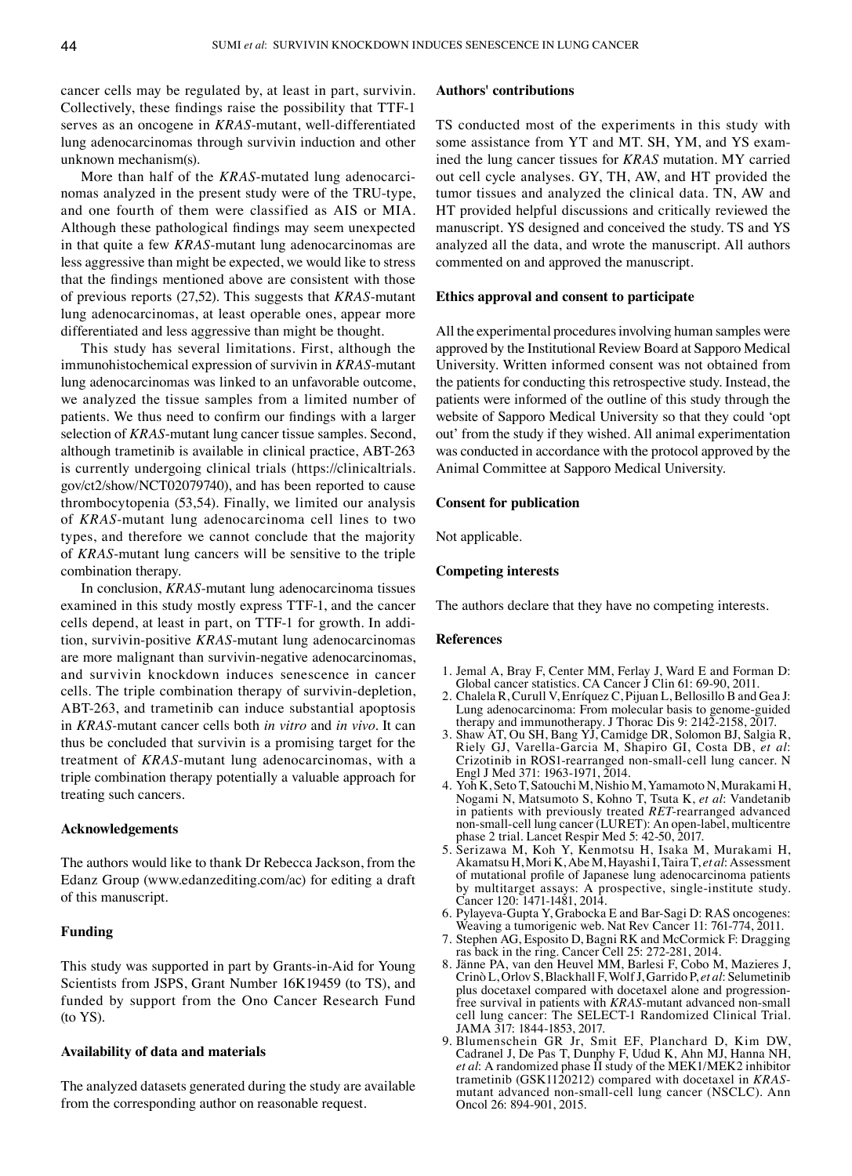cancer cells may be regulated by, at least in part, survivin. Collectively, these findings raise the possibility that TTF‑1 serves as an oncogene in *KRAS*-mutant, well-differentiated lung adenocarcinomas through survivin induction and other unknown mechanism(s).

More than half of the *KRAS*-mutated lung adenocarcinomas analyzed in the present study were of the TRU-type, and one fourth of them were classified as AIS or MIA. Although these pathological findings may seem unexpected in that quite a few *KRAS*-mutant lung adenocarcinomas are less aggressive than might be expected, we would like to stress that the findings mentioned above are consistent with those of previous reports (27,52). This suggests that *KRAS*-mutant lung adenocarcinomas, at least operable ones, appear more differentiated and less aggressive than might be thought.

This study has several limitations. First, although the immunohistochemical expression of survivin in *KRAS*-mutant lung adenocarcinomas was linked to an unfavorable outcome, we analyzed the tissue samples from a limited number of patients. We thus need to confirm our findings with a larger selection of *KRAS*-mutant lung cancer tissue samples. Second, although trametinib is available in clinical practice, ABT-263 is currently undergoing clinical trials (https://clinicaltrials. gov/ct2/show/NCT02079740), and has been reported to cause thrombocytopenia (53,54). Finally, we limited our analysis of *KRAS*-mutant lung adenocarcinoma cell lines to two types, and therefore we cannot conclude that the majority of *KRAS*-mutant lung cancers will be sensitive to the triple combination therapy.

In conclusion, *KRAS*-mutant lung adenocarcinoma tissues examined in this study mostly express TTF-1, and the cancer cells depend, at least in part, on TTF-1 for growth. In addition, survivin-positive *KRAS*-mutant lung adenocarcinomas are more malignant than survivin-negative adenocarcinomas, and survivin knockdown induces senescence in cancer cells. The triple combination therapy of survivin-depletion, ABT-263, and trametinib can induce substantial apoptosis in *KRAS*-mutant cancer cells both *in vitro* and *in vivo*. It can thus be concluded that survivin is a promising target for the treatment of *KRAS*-mutant lung adenocarcinomas, with a triple combination therapy potentially a valuable approach for treating such cancers.

## **Acknowledgements**

The authors would like to thank Dr Rebecca Jackson, from the Edanz Group (www.edanzediting.com/ac) for editing a draft of this manuscript.

## **Funding**

This study was supported in part by Grants-in-Aid for Young Scientists from JSPS, Grant Number 16K19459 (to TS), and funded by support from the Ono Cancer Research Fund (to YS).

#### **Availability of data and materials**

The analyzed datasets generated during the study are available from the corresponding author on reasonable request.

## **Authors' contributions**

TS conducted most of the experiments in this study with some assistance from YT and MT. SH, YM, and YS examined the lung cancer tissues for *KRAS* mutation. MY carried out cell cycle analyses. GY, TH, AW, and HT provided the tumor tissues and analyzed the clinical data. TN, AW and HT provided helpful discussions and critically reviewed the manuscript. YS designed and conceived the study. TS and YS analyzed all the data, and wrote the manuscript. All authors commented on and approved the manuscript.

#### **Ethics approval and consent to participate**

All the experimental procedures involving human samples were approved by the Institutional Review Board at Sapporo Medical University. Written informed consent was not obtained from the patients for conducting this retrospective study. Instead, the patients were informed of the outline of this study through the website of Sapporo Medical University so that they could 'opt out' from the study if they wished. All animal experimentation was conducted in accordance with the protocol approved by the Animal Committee at Sapporo Medical University.

## **Consent for publication**

Not applicable.

## **Competing interests**

The authors declare that they have no competing interests.

#### **References**

- 1. Jemal A, Bray F, Center MM, Ferlay J, Ward E and Forman D: Global cancer statistics. CA Cancer J Clin 61: 69-90, 2011.
- 2. Chalela R, Curull V, Enríquez C, Pijuan L, Bellosillo B and Gea J: Lung adenocarcinoma: From molecular basis to genome-guided therapy and immunotherapy. J Thorac Dis 9: 2142-2158, 2017.
- 3. Shaw AT, Ou SH, Bang YJ, Camidge DR, Solomon BJ, Salgia R, Riely GJ, Varella-Garcia M, Shapiro GI, Costa DB, *et al*: Crizotinib in ROS1-rearranged non-small-cell lung cancer. N Engl J Med 371: 1963-1971, 2014.
- 4. Yoh K, Seto T, Satouchi M, Nishio M, Yamamoto N, Murakami H, Nogami N, Matsumoto S, Kohno T, Tsuta K, *et al*: Vandetanib non-small-cell lung cancer (LURET): An open-label, multicentre phase 2 trial. Lancet Respir Med 5: 42-50, 2017.
- 5. Serizawa M, Koh Y, Kenmotsu H, Isaka M, Murakami H, Akamatsu H, Mori K, Abe M, Hayashi I, Taira T, *et al*: Assessment of mutational profile of Japanese lung adenocarcinoma patients by multitarget assays: A prospective, single-institute study. Cancer 120: 1471-1481, 2014.
- 6. Pylayeva-Gupta Y, Grabocka E and Bar-Sagi D: RAS oncogenes: Weaving a tumorigenic web. Nat Rev Cancer 11: 761-774, 2011.
- 7. Stephen AG, Esposito D, Bagni RK and McCormick F: Dragging ras back in the ring. Cancer Cell 25: 272-281, 2014.
- 8. Jänne PA, van den Heuvel MM, Barlesi F, Cobo M, Mazieres J, Crinò L, Orlov S, Blackhall F, Wolf J, Garrido P, *et al*: Selumetinib plus docetaxel compared with docetaxel alone and progressionfree survival in patients with *KRAS*-mutant advanced non-small cell lung cancer: The SELECT-1 Randomized Clinical Trial. JAMA 317: 1844-1853, 2017.
- 9. Blumenschein GR Jr, Smit EF, Planchard D, Kim DW, Cadranel J, De Pas T, Dunphy F, Udud K, Ahn MJ, Hanna NH, *et al*: A randomized phase II study of the MEK1/MEK2 inhibitor trametinib (GSK1120212) compared with docetaxel in *KRAS*mutant advanced non-small-cell lung cancer (NSCLC). Ann Oncol 26: 894-901, 2015.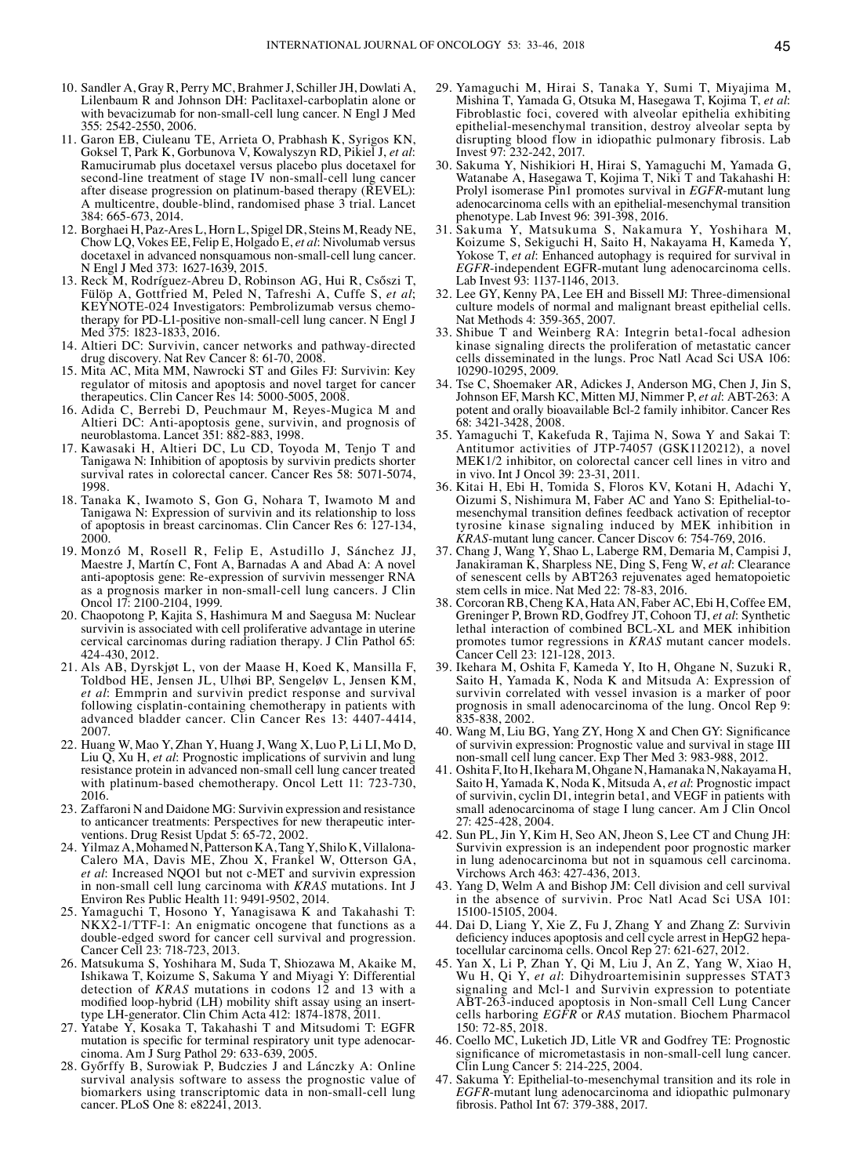- 10. Sandler A, Gray R, Perry MC, Brahmer J, Schiller JH, Dowlati A, Lilenbaum R and Johnson DH: Paclitaxel-carboplatin alone or with bevacizumab for non-small-cell lung cancer. N Engl J Med 355: 2542-2550, 2006.
- 11. Garon EB, Ciuleanu TE, Arrieta O, Prabhash K, Syrigos KN, Goksel T, Park K, Gorbunova V, Kowalyszyn RD, Pikiel J, *et al*: Ramucirumab plus docetaxel versus placebo plus docetaxel for second-line treatment of stage IV non-small-cell lung cancer after disease progression on platinum-based therapy (REVEL): A multicentre, double-blind, randomised phase 3 trial. Lancet 384: 665-673, 2014.
- 12. Borghaei H, Paz-Ares L, Horn L, Spigel DR, Steins M, Ready NE, Chow LQ, Vokes EE, Felip E, Holgado E, *et al*: Nivolumab versus docetaxel in advanced nonsquamous non-small-cell lung cancer. N Engl J Med 373: 1627-1639, 2015.
- 13. Reck M, Rodríguez-Abreu D, Robinson AG, Hui R, Csőszi T, Fülöp A, Gottfried M, Peled N, Tafreshi A, Cuffe S, *et al*; KEYNOTE-024 Investigators: Pembrolizumab versus chemotherapy for PD-L1-positive non-small-cell lung cancer. N Engl J Med 375: 1823-1833, 2016.
- 14. Altieri DC: Survivin, cancer networks and pathway-directed drug discovery. Nat Rev Cancer 8: 61-70, 2008.
- 15. Mita AC, Mita MM, Nawrocki ST and Giles FJ: Survivin: Key regulator of mitosis and apoptosis and novel target for cancer therapeutics. Clin Cancer Res 14: 5000-5005, 2008.
- 16. Adida C, Berrebi D, Peuchmaur M, Reyes-Mugica M and Altieri DC: Anti-apoptosis gene, survivin, and prognosis of neuroblastoma. Lancet 351: 882-883, 1998.
- 17. Kawasaki H, Altieri DC, Lu CD, Toyoda M, Tenjo T and Tanigawa N: Inhibition of apoptosis by survivin predicts shorter survival rates in colorectal cancer. Cancer Res 58: 5071-5074, 1998.
- 18. Tanaka K, Iwamoto S, Gon G, Nohara T, Iwamoto M and Tanigawa N: Expression of survivin and its relationship to loss of apoptosis in breast carcinomas. Clin Cancer Res 6: 127-134, 2000.
- 19. Monzó M, Rosell R, Felip E, Astudillo J, Sánchez JJ, Maestre J, Martín C, Font A, Barnadas A and Abad A: A novel anti-apoptosis gene: Re-expression of survivin messenger RNA as a prognosis marker in non-small-cell lung cancers. J Clin Oncol 17: 2100-2104, 1999.
- 20. Chaopotong P, Kajita S, Hashimura M and Saegusa M: Nuclear survivin is associated with cell proliferative advantage in uterine cervical carcinomas during radiation therapy. J Clin Pathol 65: 424-430, 2012.
- 21. Als AB, Dyrskjøt L, von der Maase H, Koed K, Mansilla F, Toldbod HE, Jensen JL, Ulhøi BP, Sengeløv L, Jensen KM, *et al*: Emmprin and survivin predict response and survival following cisplatin-containing chemotherapy in patients with advanced bladder cancer. Clin Cancer Res 13: 4407-4414, 2007.
- 22. Huang W, Mao Y, Zhan Y, Huang J, Wang X, Luo P, Li LI, Mo D, Liu Q, Xu H, *et al*: Prognostic implications of survivin and lung resistance protein in advanced non-small cell lung cancer treated with platinum-based chemotherapy. Oncol Lett 11: 723-730, 2016.
- 23. Zaffaroni N and Daidone MG: Survivin expression and resistance to anticancer treatments: Perspectives for new therapeutic interventions. Drug Resist Updat 5: 65-72, 2002.
- 24. Yilmaz A, Mohamed N, Patterson KA, Tang Y, Shilo K, Villalona-Calero MA, Davis ME, Zhou X, Frankel W, Otterson GA, *et al*: Increased NQO1 but not c-MET and survivin expression in non-small cell lung carcinoma with *KRAS* mutations. Int J Environ Res Public Health 11: 9491-9502, 2014.
- 25. Yamaguchi T, Hosono Y, Yanagisawa K and Takahashi T: NKX2-1/TTF-1: An enigmatic oncogene that functions as a double-edged sword for cancer cell survival and progression. Cancer Cell 23: 718-723, 2013.
- 26. Matsukuma S, Yoshihara M, Suda T, Shiozawa M, Akaike M, Ishikawa T, Koizume S, Sakuma Y and Miyagi Y: Differential detection of *KRAS* mutations in codons 12 and 13 with a modified loop-hybrid (LH) mobility shift assay using an inserttype LH-generator. Clin Chim Acta 412: 1874-1878, 2011.
- 27. Yatabe Y, Kosaka T, Takahashi T and Mitsudomi T: EGFR mutation is specific for terminal respiratory unit type adenocarcinoma. Am J Surg Pathol 29: 633-639, 2005.
- 28. Győrffy B, Surowiak P, Budczies J and Lánczky A: Online survival analysis software to assess the prognostic value of biomarkers using transcriptomic data in non-small-cell lung cancer. PLoS One 8: e82241, 2013.
- 29. Yamaguchi M, Hirai S, Tanaka Y, Sumi T, Miyajima M, Mishina T, Yamada G, Otsuka M, Hasegawa T, Kojima T, *et al*: Fibroblastic foci, covered with alveolar epithelia exhibiting epithelial-mesenchymal transition, destroy alveolar septa by disrupting blood flow in idiopathic pulmonary fibrosis. Lab Invest 97: 232-242, 2017.
- 30. Sakuma Y, Nishikiori H, Hirai S, Yamaguchi M, Yamada G, Watanabe A, Hasegawa T, Kojima T, Niki T and Takahashi H: Prolyl isomerase Pin1 promotes survival in *EGFR*-mutant lung adenocarcinoma cells with an epithelial-mesenchymal transition phenotype. Lab Invest 96: 391-398, 2016.
- 31. Sakuma Y, Matsukuma S, Nakamura Y, Yoshihara M, Koizume S, Sekiguchi H, Saito H, Nakayama H, Kameda Y, Yokose T, *et al*: Enhanced autophagy is required for survival in *EGFR*-independent EGFR-mutant lung adenocarcinoma cells. Lab Invest 93: 1137-1146, 2013.
- 32. Lee GY, Kenny PA, Lee EH and Bissell MJ: Three-dimensional culture models of normal and malignant breast epithelial cells. Nat Methods 4: 359-365, 2007.
- 33. Shibue T and Weinberg RA: Integrin beta1-focal adhesion kinase signaling directs the proliferation of metastatic cancer cells disseminated in the lungs. Proc Natl Acad Sci USA 106: 10290-10295, 2009.
- 34. Tse C, Shoemaker AR, Adickes J, Anderson MG, Chen J, Jin S, Johnson EF, Marsh KC, Mitten MJ, Nimmer P, *et al*: ABT-263: A potent and orally bioavailable Bcl-2 family inhibitor. Cancer Res 68: 3421-3428, 2008.
- 35. Yamaguchi T, Kakefuda R, Tajima N, Sowa Y and Sakai T: Antitumor activities of JTP-74057 (GSK1120212), a novel MEK1/2 inhibitor, on colorectal cancer cell lines in vitro and in vivo. Int J Oncol 39: 23-31, 2011.
- 36. Kitai H, Ebi H, Tomida S, Floros KV, Kotani H, Adachi Y, Oizumi S, Nishimura M, Faber AC and Yano S: Epithelial-tomesenchymal transition defines feedback activation of receptor tyrosine kinase signaling induced by MEK inhibition in *KRAS*-mutant lung cancer. Cancer Discov 6: 754-769, 2016.
- 37. Chang J, Wang Y, Shao L, Laberge RM, Demaria M, Campisi J, Janakiraman K, Sharpless NE, Ding S, Feng W, *et al*: Clearance of senescent cells by ABT263 rejuvenates aged hematopoietic stem cells in mice. Nat Med 22: 78-83, 2016.
- 38. Corcoran RB, Cheng KA, Hata AN, Faber AC, Ebi H, Coffee EM, Greninger P, Brown RD, Godfrey JT, Cohoon TJ, *et al*: Synthetic lethal interaction of combined BCL-XL and MEK inhibition promotes tumor regressions in *KRAS* mutant cancer models. Cancer Cell 23: 121-128, 2013.
- 39. Ikehara M, Oshita F, Kameda Y, Ito H, Ohgane N, Suzuki R, Saito H, Yamada K, Noda K and Mitsuda A: Expression of survivin correlated with vessel invasion is a marker of poor prognosis in small adenocarcinoma of the lung. Oncol Rep 9: 835-838, 2002.
- 40. Wang M, Liu BG, Yang ZY, Hong X and Chen GY: Significance of survivin expression: Prognostic value and survival in stage III non-small cell lung cancer. Exp Ther Med 3: 983-988, 2012.
- 41. Oshita F, Ito H, Ikehara M, Ohgane N, Hamanaka N, Nakayama H, Saito H, Yamada K, Noda K, Mitsuda A, *et al*: Prognostic impact of survivin, cyclin D1, integrin beta1, and VEGF in patients with small adenocarcinoma of stage I lung cancer. Am J Clin Oncol 27: 425-428, 2004.
- 42. Sun PL, Jin Y, Kim H, Seo AN, Jheon S, Lee CT and Chung JH: Survivin expression is an independent poor prognostic marker in lung adenocarcinoma but not in squamous cell carcinoma. Virchows Arch 463: 427-436, 2013.
- 43. Yang D, Welm A and Bishop JM: Cell division and cell survival in the absence of survivin. Proc Natl Acad Sci USA 101: 15100-15105, 2004.
- 44. Dai D, Liang Y, Xie Z, Fu J, Zhang Y and Zhang Z: Survivin deficiency induces apoptosis and cell cycle arrest in HepG2 hepa- tocellular carcinoma cells. Oncol Rep 27: 621-627, 2012.
- 45. Yan X, Li P, Zhan Y, Qi M, Liu J, An Z, Yang W, Xiao H, Wu H, Qi Y, *et al*: Dihydroartemisinin suppresses STAT3 signaling and Mcl-1 and Survivin expression to potentiate ABT-263-induced apoptosis in Non-small Cell Lung Cancer cells harboring *EGFR* or *RAS* mutation. Biochem Pharmacol 150: 72-85, 2018.
- 46. Coello MC, Luketich JD, Litle VR and Godfrey TE: Prognostic significance of micrometastasis in non-small-cell lung cancer. Clin Lung Cancer 5: 214-225, 2004.
- 47. Sakuma Y: Epithelial-to-mesenchymal transition and its role in *EGFR*-mutant lung adenocarcinoma and idiopathic pulmonary fibrosis. Pathol Int 67: 379-388, 2017.